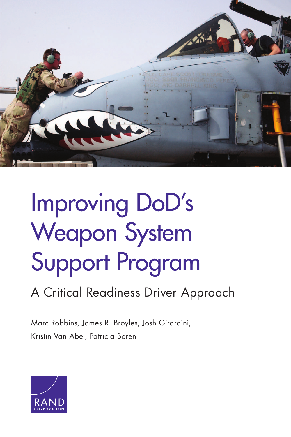

# [Improving DoD's](https://www.rand.org/pubs/research_reports/RR2496.html)  Weapon System Support Program

# A Critical Readiness Driver Approach

Marc Robbins, James R. Broyles, Josh Girardini, Kristin Van Abel, Patricia Boren

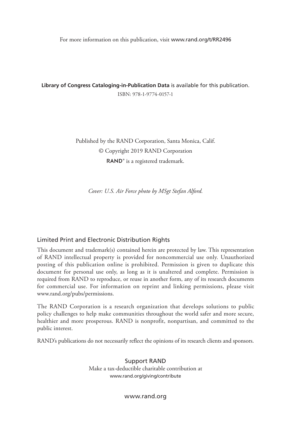For more information on this publication, visit [www.rand.org/t/RR2496](http://www.rand.org/t/RR2496)

**Library of Congress Cataloging-in-Publication Data** is available for this publication. ISBN: 978-1-9774-0157-1

> Published by the RAND Corporation, Santa Monica, Calif. © Copyright 2019 RAND Corporation RAND<sup>®</sup> is a registered trademark.

*Cover: U.S. Air Force photo by MSgt Stefan Alford.*

#### Limited Print and Electronic Distribution Rights

This document and trademark(s) contained herein are protected by law. This representation of RAND intellectual property is provided for noncommercial use only. Unauthorized posting of this publication online is prohibited. Permission is given to duplicate this document for personal use only, as long as it is unaltered and complete. Permission is required from RAND to reproduce, or reuse in another form, any of its research documents for commercial use. For information on reprint and linking permissions, please visit [www.rand.org/pubs/permissions.](http://www.rand.org/pubs/permissions)

The RAND Corporation is a research organization that develops solutions to public policy challenges to help make communities throughout the world safer and more secure, healthier and more prosperous. RAND is nonprofit, nonpartisan, and committed to the public interest.

RAND's publications do not necessarily reflect the opinions of its research clients and sponsors.

Support RAND Make a tax-deductible charitable contribution at [www.rand.org/giving/contribute](http://www.rand.org/giving/contribute)

[www.rand.org](http://www.rand.org)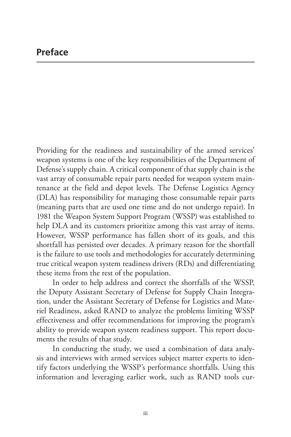Providing for the readiness and sustainability of the armed services' weapon systems is one of the key responsibilities of the Department of Defense's supply chain. A critical component of that supply chain is the vast array of consumable repair parts needed for weapon system maintenance at the field and depot levels. The Defense Logistics Agency (DLA) has responsibility for managing those consumable repair parts (meaning parts that are used one time and do not undergo repair). In 1981 the Weapon System Support Program (WSSP) was established to help DLA and its customers prioritize among this vast array of items. However, WSSP performance has fallen short of its goals, and this shortfall has persisted over decades. A primary reason for the shortfall is the failure to use tools and methodologies for accurately determining true critical weapon system readiness drivers (RDs) and differentiating these items from the rest of the population.

In order to help address and correct the shortfalls of the WSSP, the Deputy Assistant Secretary of Defense for Supply Chain Integration, under the Assistant Secretary of Defense for Logistics and Materiel Readiness, asked RAND to analyze the problems limiting WSSP effectiveness and offer recommendations for improving the program's ability to provide weapon system readiness support. This report documents the results of that study.

In conducting the study, we used a combination of data analysis and interviews with armed services subject matter experts to identify factors underlying the WSSP's performance shortfalls. Using this information and leveraging earlier work, such as RAND tools cur-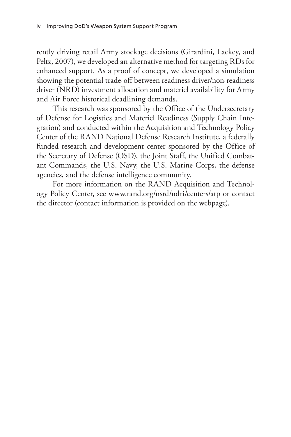rently driving retail Army stockage decisions (Girardini, Lackey, and Peltz, 2007), we developed an alternative method for targeting RDs for enhanced support. As a proof of concept, we developed a simulation showing the potential trade-off between readiness driver/non-readiness driver (NRD) investment allocation and materiel availability for Army and Air Force historical deadlining demands.

This research was sponsored by the Office of the Undersecretary of Defense for Logistics and Materiel Readiness (Supply Chain Integration) and conducted within the Acquisition and Technology Policy Center of the RAND National Defense Research Institute, a federally funded research and development center sponsored by the Office of the Secretary of Defense (OSD), the Joint Staff, the Unified Combatant Commands, the U.S. Navy, the U.S. Marine Corps, the defense agencies, and the defense intelligence community.

For more information on the RAND Acquisition and Technology Policy Center, see [www.rand.org/nsrd/ndri/centers/atp](http://www.rand.org/nsrd/ndri/centers/atp) or contact the director (contact information is provided on the webpage).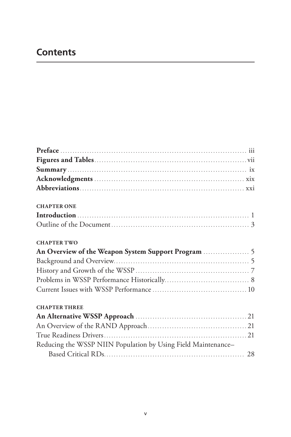# **Contents**

| <b>CHAPTER ONE</b>                                            |  |
|---------------------------------------------------------------|--|
|                                                               |  |
|                                                               |  |
| <b>CHAPTER TWO</b>                                            |  |
| An Overview of the Weapon System Support Program  5           |  |
|                                                               |  |
|                                                               |  |
|                                                               |  |
|                                                               |  |
| <b>CHAPTER THREE</b>                                          |  |
|                                                               |  |
|                                                               |  |
|                                                               |  |
| Reducing the WSSP NIIN Population by Using Field Maintenance- |  |
|                                                               |  |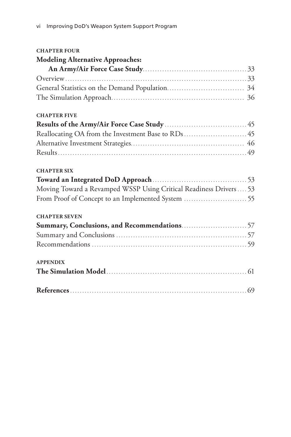| <b>CHAPTER FOUR</b>                                               |  |
|-------------------------------------------------------------------|--|
| <b>Modeling Alternative Approaches:</b>                           |  |
|                                                                   |  |
|                                                                   |  |
|                                                                   |  |
|                                                                   |  |
| <b>CHAPTER FIVE</b>                                               |  |
|                                                                   |  |
| Reallocating OA from the Investment Base to RDs 45                |  |
|                                                                   |  |
|                                                                   |  |
| <b>CHAPTER SIX</b>                                                |  |
|                                                                   |  |
| Moving Toward a Revamped WSSP Using Critical Readiness Drivers 53 |  |
| From Proof of Concept to an Implemented System 55                 |  |
| <b>CHAPTER SEVEN</b>                                              |  |
|                                                                   |  |
|                                                                   |  |
|                                                                   |  |
| <b>APPENDIX</b>                                                   |  |
|                                                                   |  |
|                                                                   |  |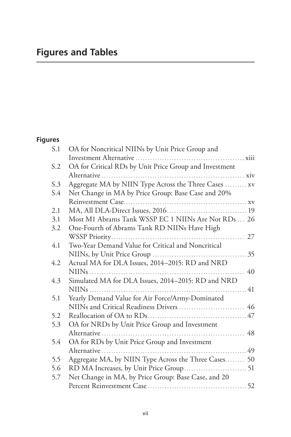# **Figures**

| S.1 | OA for Noncritical NIINs by Unit Price Group and       |    |
|-----|--------------------------------------------------------|----|
|     |                                                        |    |
| S.2 | OA for Critical RDs by Unit Price Group and Investment |    |
|     |                                                        |    |
| S.3 | Aggregate MA by NIIN Type Across the Three Cases  xv   |    |
| S.4 | Net Change in MA by Price Group: Base Case and 20%     |    |
|     |                                                        |    |
| 2.1 |                                                        |    |
| 3.1 | Most M1 Abrams Tank WSSP EC 1 NIINs Are Not RDs  26    |    |
| 3.2 | One-Fourth of Abrams Tank RD NIINs Have High           |    |
|     |                                                        | 27 |
| 4.1 | Two-Year Demand Value for Critical and Noncritical     |    |
|     |                                                        |    |
| 4.2 | Actual MA for DLA Issues, 2014-2015: RD and NRD        |    |
|     |                                                        | 40 |
| 4.3 | Simulated MA for DLA Issues, 2014-2015: RD and NRD     |    |
|     |                                                        |    |
| 5.1 | Yearly Demand Value for Air Force/Army-Dominated       |    |
|     |                                                        |    |
| 5.2 |                                                        |    |
| 5.3 | OA for NRDs by Unit Price Group and Investment         |    |
|     |                                                        |    |
|     | OA for RDs by Unit Price Group and Investment          |    |
| 5.4 |                                                        |    |
|     |                                                        |    |
| 5.5 | Aggregate MA, by NIIN Type Across the Three Cases 50   |    |
| 5.6 |                                                        |    |
| 5.7 | Net Change in MA, by Price Group: Base Case, and 20    |    |
|     |                                                        |    |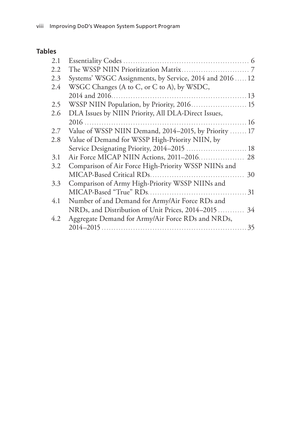# **Tables**

| 2.1 |                                                          |    |
|-----|----------------------------------------------------------|----|
| 2.2 |                                                          |    |
| 2.3 | Systems' WSGC Assignments, by Service, 2014 and 2016  12 |    |
| 2.4 | WSGC Changes (A to C, or C to A), by WSDC,               |    |
|     | 2014 and 2016                                            |    |
| 2.5 | WSSP NIIN Population, by Priority, 2016 15               |    |
| 2.6 | DLA Issues by NIIN Priority, All DLA-Direct Issues,      |    |
|     |                                                          |    |
| 2.7 | Value of WSSP NIIN Demand, 2014-2015, by Priority  17    |    |
| 2.8 | Value of Demand for WSSP High-Priority NIIN, by          |    |
|     | Service Designating Priority, 2014-2015  18              |    |
| 3.1 | Air Force MICAP NIIN Actions, 2011-2016                  | 28 |
| 3.2 | Comparison of Air Force High-Priority WSSP NIINs and     |    |
|     |                                                          | 30 |
| 3.3 | Comparison of Army High-Priority WSSP NIINs and          |    |
|     |                                                          | 31 |
| 4.1 | Number of and Demand for Army/Air Force RDs and          |    |
|     | NRDs, and Distribution of Unit Prices, 2014–2015         | 34 |
| 4.2 | Aggregate Demand for Army/Air Force RDs and NRDs,        |    |
|     |                                                          | 35 |
|     |                                                          |    |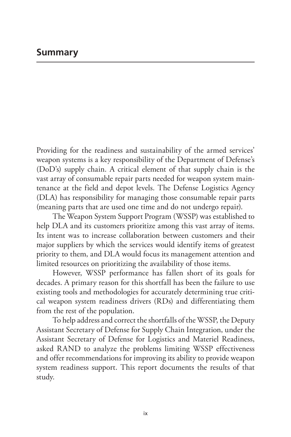Providing for the readiness and sustainability of the armed services' weapon systems is a key responsibility of the Department of Defense's (DoD's) supply chain. A critical element of that supply chain is the vast array of consumable repair parts needed for weapon system maintenance at the field and depot levels. The Defense Logistics Agency (DLA) has responsibility for managing those consumable repair parts (meaning parts that are used one time and do not undergo repair).

The Weapon System Support Program (WSSP) was established to help DLA and its customers prioritize among this vast array of items. Its intent was to increase collaboration between customers and their major suppliers by which the services would identify items of greatest priority to them, and DLA would focus its management attention and limited resources on prioritizing the availability of those items.

However, WSSP performance has fallen short of its goals for decades. A primary reason for this shortfall has been the failure to use existing tools and methodologies for accurately determining true critical weapon system readiness drivers (RDs) and differentiating them from the rest of the population.

To help address and correct the shortfalls of the WSSP, the Deputy Assistant Secretary of Defense for Supply Chain Integration, under the Assistant Secretary of Defense for Logistics and Materiel Readiness, asked RAND to analyze the problems limiting WSSP effectiveness and offer recommendations for improving its ability to provide weapon system readiness support. This report documents the results of that study.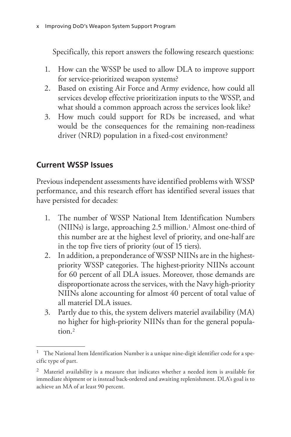Specifically, this report answers the following research questions:

- 1. How can the WSSP be used to allow DLA to improve support for service-prioritized weapon systems?
- 2. Based on existing Air Force and Army evidence, how could all services develop effective prioritization inputs to the WSSP, and what should a common approach across the services look like?
- 3. How much could support for RDs be increased, and what would be the consequences for the remaining non-readiness driver (NRD) population in a fixed-cost environment?

# **Current WSSP Issues**

Previous independent assessments have identified problems with WSSP performance, and this research effort has identified several issues that have persisted for decades:

- 1. The number of WSSP National Item Identification Numbers (NIINs) is large, approaching 2.5 million.<sup>1</sup> Almost one-third of this number are at the highest level of priority, and one-half are in the top five tiers of priority (out of 15 tiers).
- 2. In addition, a preponderance of WSSP NIINs are in the highestpriority WSSP categories. The highest-priority NIINs account for 60 percent of all DLA issues. Moreover, those demands are disproportionate across the services, with the Navy high-priority NIINs alone accounting for almost 40 percent of total value of all materiel DLA issues.
- 3. Partly due to this, the system delivers materiel availability (MA) no higher for high-priority NIINs than for the general population.2

<sup>&</sup>lt;sup>1</sup> The National Item Identification Number is a unique nine-digit identifier code for a specific type of part.

 $2$  Materiel availability is a measure that indicates whether a needed item is available for immediate shipment or is instead back-ordered and awaiting replenishment. DLA's goal is to achieve an MA of at least 90 percent.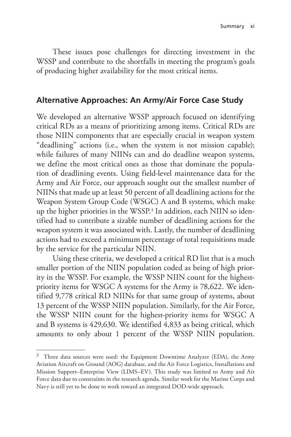These issues pose challenges for directing investment in the WSSP and contribute to the shortfalls in meeting the program's goals of producing higher availability for the most critical items.

#### **Alternative Approaches: An Army/Air Force Case Study**

We developed an alternative WSSP approach focused on identifying critical RDs as a means of prioritizing among items. Critical RDs are those NIIN components that are especially crucial in weapon system "deadlining" actions (i.e., when the system is not mission capable); while failures of many NIINs can and do deadline weapon systems, we define the most critical ones as those that dominate the population of deadlining events. Using field-level maintenance data for the Army and Air Force, our approach sought out the smallest number of NIINs that made up at least 50 percent of all deadlining actions for the Weapon System Group Code (WSGC) A and B systems, which make up the higher priorities in the WSSP.3 In addition, each NIIN so identified had to contribute a sizable number of deadlining actions for the weapon system it was associated with. Lastly, the number of deadlining actions had to exceed a minimum percentage of total requisitions made by the service for the particular NIIN.

Using these criteria, we developed a critical RD list that is a much smaller portion of the NIIN population coded as being of high priority in the WSSP. For example, the WSSP NIIN count for the highestpriority items for WSGC A systems for the Army is 78,622. We identified 9,778 critical RD NIINs for that same group of systems, about 13 percent of the WSSP NIIN population. Similarly, for the Air Force, the WSSP NIIN count for the highest-priority items for WSGC A and B systems is 429,630. We identified 4,833 as being critical, which amounts to only about 1 percent of the WSSP NIIN population.

 $3$  Three data sources were used: the Equipment Downtime Analyzer (EDA), the Army Aviation Aircraft on Ground (AOG) database, and the Air Force Logistics, Installations and Mission Support–Enterprise View (LIMS–EV). This study was limited to Army and Air Force data due to constraints in the research agenda. Similar work for the Marine Corps and Navy is still yet to be done to work toward an integrated DOD-wide approach.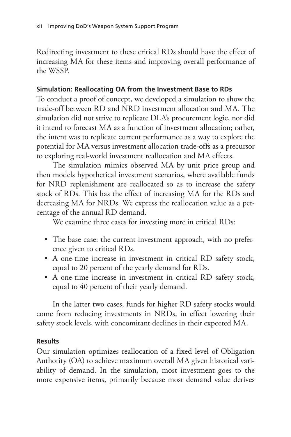Redirecting investment to these critical RDs should have the effect of increasing MA for these items and improving overall performance of the WSSP.

#### **Simulation: Reallocating OA from the Investment Base to RDs**

To conduct a proof of concept, we developed a simulation to show the trade-off between RD and NRD investment allocation and MA. The simulation did not strive to replicate DLA's procurement logic, nor did it intend to forecast MA as a function of investment allocation; rather, the intent was to replicate current performance as a way to explore the potential for MA versus investment allocation trade-offs as a precursor to exploring real-world investment reallocation and MA effects.

The simulation mimics observed MA by unit price group and then models hypothetical investment scenarios, where available funds for NRD replenishment are reallocated so as to increase the safety stock of RDs. This has the effect of increasing MA for the RDs and decreasing MA for NRDs. We express the reallocation value as a percentage of the annual RD demand.

We examine three cases for investing more in critical RDs:

- The base case: the current investment approach, with no preference given to critical RDs.
- A one-time increase in investment in critical RD safety stock, equal to 20 percent of the yearly demand for RDs.
- A one-time increase in investment in critical RD safety stock, equal to 40 percent of their yearly demand.

In the latter two cases, funds for higher RD safety stocks would come from reducing investments in NRDs, in effect lowering their safety stock levels, with concomitant declines in their expected MA.

#### **Results**

Our simulation optimizes reallocation of a fixed level of Obligation Authority (OA) to achieve maximum overall MA given historical variability of demand. In the simulation, most investment goes to the more expensive items, primarily because most demand value derives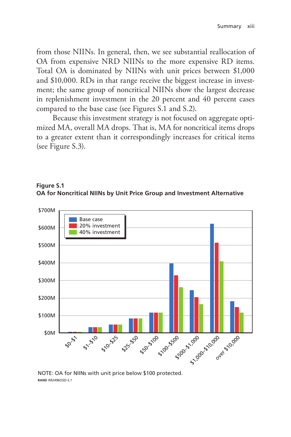from those NIINs. In general, then, we see substantial reallocation of OA from expensive NRD NIINs to the more expensive RD items. Total OA is dominated by NIINs with unit prices between \$1,000 and \$10,000. RDs in that range receive the biggest increase in investment; the same group of noncritical NIINs show the largest decrease in replenishment investment in the 20 percent and 40 percent cases compared to the base case (see Figures S.1 and S.2).

Because this investment strategy is not focused on aggregate optimized MA, overall MA drops. That is, MA for noncritical items drops to a greater extent than it correspondingly increases for critical items (see Figure S.3).





NOTE: OA for NIINs with unit price below \$100 protected. **RAND** *RR2496OSD-S.1*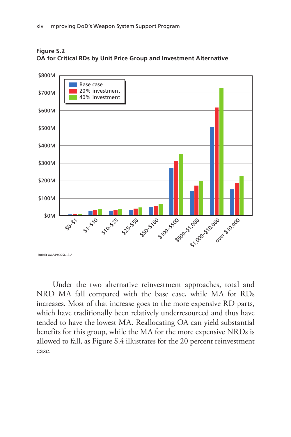



Under the two alternative reinvestment approaches, total and NRD MA fall compared with the base case, while MA for RDs increases. Most of that increase goes to the more expensive RD parts, which have traditionally been relatively underresourced and thus have tended to have the lowest MA. Reallocating OA can yield substantial benefits for this group, while the MA for the more expensive NRDs is allowed to fall, as Figure S.4 illustrates for the 20 percent reinvestment case.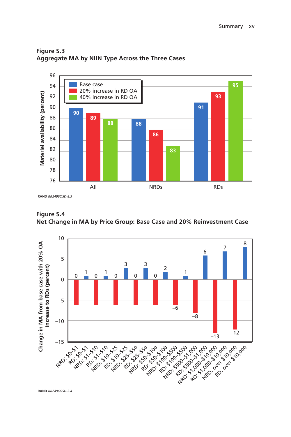

**Figure S.3 Aggregate MA by NIIN Type Across the Three Cases**

**Figure S.4 Net Change in MA by Price Group: Base Case and 20% Reinvestment Case**



**RAND** *RR2496OSD-S.4*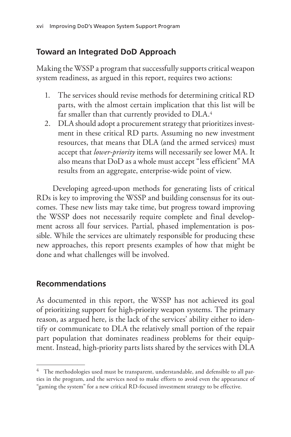# **Toward an Integrated DoD Approach**

Making the WSSP a program that successfully supports critical weapon system readiness, as argued in this report, requires two actions:

- 1. The services should revise methods for determining critical RD parts, with the almost certain implication that this list will be far smaller than that currently provided to DLA.<sup>4</sup>
- 2. DLA should adopt a procurement strategy that prioritizes investment in these critical RD parts. Assuming no new investment resources, that means that DLA (and the armed services) must accept that *lower-priority* items will necessarily see lower MA. It also means that DoD as a whole must accept "less efficient" MA results from an aggregate, enterprise-wide point of view.

Developing agreed-upon methods for generating lists of critical RDs is key to improving the WSSP and building consensus for its outcomes. These new lists may take time, but progress toward improving the WSSP does not necessarily require complete and final development across all four services. Partial, phased implementation is possible. While the services are ultimately responsible for producing these new approaches, this report presents examples of how that might be done and what challenges will be involved.

# **Recommendations**

As documented in this report, the WSSP has not achieved its goal of prioritizing support for high-priority weapon systems. The primary reason, as argued here, is the lack of the services' ability either to identify or communicate to DLA the relatively small portion of the repair part population that dominates readiness problems for their equipment. Instead, high-priority parts lists shared by the services with DLA

<sup>&</sup>lt;sup>4</sup> The methodologies used must be transparent, understandable, and defensible to all parties in the program, and the services need to make efforts to avoid even the appearance of "gaming the system" for a new critical RD-focused investment strategy to be effective.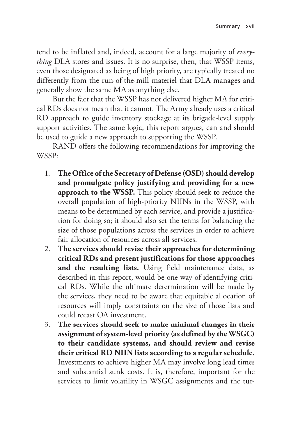tend to be inflated and, indeed, account for a large majority of *everything* DLA stores and issues. It is no surprise, then, that WSSP items, even those designated as being of high priority, are typically treated no differently from the run-of-the-mill materiel that DLA manages and generally show the same MA as anything else.

But the fact that the WSSP has not delivered higher MA for critical RDs does not mean that it cannot. The Army already uses a critical RD approach to guide inventory stockage at its brigade-level supply support activities. The same logic, this report argues, can and should be used to guide a new approach to supporting the WSSP.

RAND offers the following recommendations for improving the WSSP:

- 1. **The Office of the Secretary of Defense (OSD) should develop and promulgate policy justifying and providing for a new approach to the WSSP.** This policy should seek to reduce the overall population of high-priority NIINs in the WSSP, with means to be determined by each service, and provide a justification for doing so; it should also set the terms for balancing the size of those populations across the services in order to achieve fair allocation of resources across all services.
- 2. **The services should revise their approaches for determining critical RDs and present justifications for those approaches and the resulting lists.** Using field maintenance data, as described in this report, would be one way of identifying critical RDs. While the ultimate determination will be made by the services, they need to be aware that equitable allocation of resources will imply constraints on the size of those lists and could recast OA investment.
- 3. **The services should seek to make minimal changes in their assignment of system-level priority (as defined by the WSGC) to their candidate systems, and should review and revise their critical RD NIIN lists according to a regular schedule.** Investments to achieve higher MA may involve long lead times and substantial sunk costs. It is, therefore, important for the services to limit volatility in WSGC assignments and the tur-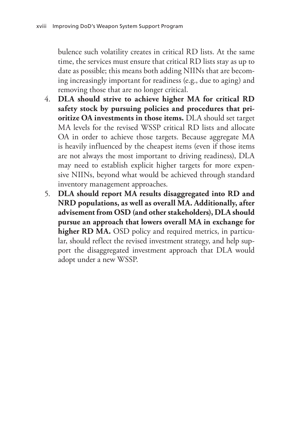bulence such volatility creates in critical RD lists. At the same time, the services must ensure that critical RD lists stay as up to date as possible; this means both adding NIINs that are becoming increasingly important for readiness (e.g., due to aging) and removing those that are no longer critical.

- 4. **DLA should strive to achieve higher MA for critical RD safety stock by pursuing policies and procedures that prioritize OA investments in those items.** DLA should set target MA levels for the revised WSSP critical RD lists and allocate OA in order to achieve those targets. Because aggregate MA is heavily influenced by the cheapest items (even if those items are not always the most important to driving readiness), DLA may need to establish explicit higher targets for more expensive NIINs, beyond what would be achieved through standard inventory management approaches.
- 5. **DLA should report MA results disaggregated into RD and NRD populations, as well as overall MA. Additionally, after advisement from OSD (and other stakeholders), DLA should pursue an approach that lowers overall MA in exchange for higher RD MA.** OSD policy and required metrics, in particular, should reflect the revised investment strategy, and help support the disaggregated investment approach that DLA would adopt under a new WSSP.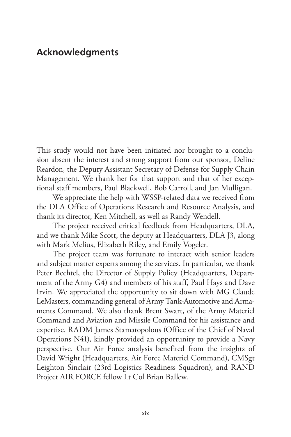This study would not have been initiated nor brought to a conclusion absent the interest and strong support from our sponsor, Deline Reardon, the Deputy Assistant Secretary of Defense for Supply Chain Management. We thank her for that support and that of her exceptional staff members, Paul Blackwell, Bob Carroll, and Jan Mulligan.

We appreciate the help with WSSP-related data we received from the DLA Office of Operations Research and Resource Analysis, and thank its director, Ken Mitchell, as well as Randy Wendell.

The project received critical feedback from Headquarters, DLA, and we thank Mike Scott, the deputy at Headquarters, DLA J3, along with Mark Melius, Elizabeth Riley, and Emily Vogeler.

The project team was fortunate to interact with senior leaders and subject matter experts among the services. In particular, we thank Peter Bechtel, the Director of Supply Policy (Headquarters, Department of the Army G4) and members of his staff, Paul Hays and Dave Irvin. We appreciated the opportunity to sit down with MG Claude LeMasters, commanding general of Army Tank-Automotive and Armaments Command. We also thank Brent Swart, of the Army Materiel Command and Aviation and Missile Command for his assistance and expertise. RADM James Stamatopolous (Office of the Chief of Naval Operations N41), kindly provided an opportunity to provide a Navy perspective. Our Air Force analysis benefited from the insights of David Wright (Headquarters, Air Force Materiel Command), CMSgt Leighton Sinclair (23rd Logistics Readiness Squadron), and RAND Project AIR FORCE fellow Lt Col Brian Ballew.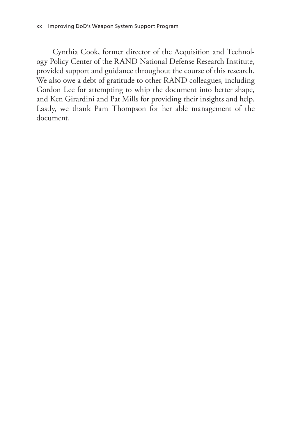Cynthia Cook, former director of the Acquisition and Technology Policy Center of the RAND National Defense Research Institute, provided support and guidance throughout the course of this research. We also owe a debt of gratitude to other RAND colleagues, including Gordon Lee for attempting to whip the document into better shape, and Ken Girardini and Pat Mills for providing their insights and help. Lastly, we thank Pam Thompson for her able management of the document.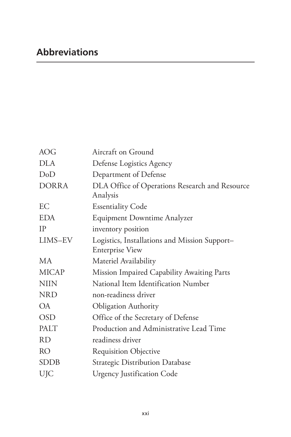| <b>AOG</b>   | Aircraft on Ground                             |
|--------------|------------------------------------------------|
| DLA          | Defense Logistics Agency                       |
| DoD          | Department of Defense                          |
| <b>DORRA</b> | DLA Office of Operations Research and Resource |
|              | Analysis                                       |
| EC           | <b>Essentiality Code</b>                       |
| <b>EDA</b>   | <b>Equipment Downtime Analyzer</b>             |
| IP           | inventory position                             |
| LIMS-EV      | Logistics, Installations and Mission Support-  |
|              | <b>Enterprise View</b>                         |
| MA           | Materiel Availability                          |
| <b>MICAP</b> | Mission Impaired Capability Awaiting Parts     |
| <b>NIIN</b>  | National Item Identification Number            |
| <b>NRD</b>   | non-readiness driver                           |
| ОA           | <b>Obligation Authority</b>                    |
| <b>OSD</b>   | Office of the Secretary of Defense             |
| PALT         | Production and Administrative Lead Time        |
| <b>RD</b>    | readiness driver                               |
| <b>RO</b>    | <b>Requisition Objective</b>                   |
| <b>SDDB</b>  | <b>Strategic Distribution Database</b>         |
| <b>UJC</b>   | <b>Urgency Justification Code</b>              |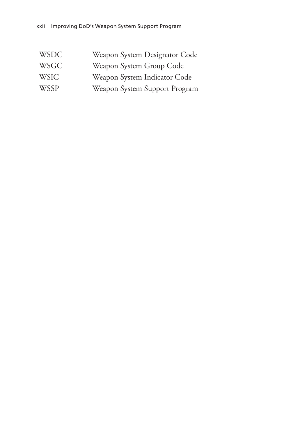| <b>WSDC</b> | Weapon System Designator Code |
|-------------|-------------------------------|
| WSGC        | Weapon System Group Code      |
| <b>WSIC</b> | Weapon System Indicator Code  |
| <b>WSSP</b> | Weapon System Support Program |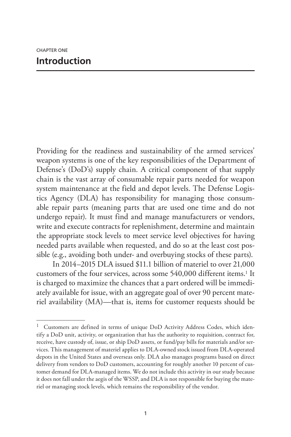Providing for the readiness and sustainability of the armed services' weapon systems is one of the key responsibilities of the Department of Defense's (DoD's) supply chain. A critical component of that supply chain is the vast array of consumable repair parts needed for weapon system maintenance at the field and depot levels. The Defense Logistics Agency (DLA) has responsibility for managing those consumable repair parts (meaning parts that are used one time and do not undergo repair). It must find and manage manufacturers or vendors, write and execute contracts for replenishment, determine and maintain the appropriate stock levels to meet service level objectives for having needed parts available when requested, and do so at the least cost possible (e.g., avoiding both under- and overbuying stocks of these parts).

In 2014–2015 DLA issued \$11.1 billion of materiel to over 21,000 customers of the four services, across some 540,000 different items.<sup>1</sup> It is charged to maximize the chances that a part ordered will be immediately available for issue, with an aggregate goal of over 90 percent materiel availability (MA)—that is, items for customer requests should be

<sup>&</sup>lt;sup>1</sup> Customers are defined in terms of unique DoD Activity Address Codes, which identify a DoD unit, activity, or organization that has the authority to requisition, contract for, receive, have custody of, issue, or ship DoD assets, or fund/pay bills for materials and/or services. This management of materiel applies to DLA-owned stock issued from DLA-operated depots in the United States and overseas only. DLA also manages programs based on direct delivery from vendors to DoD customers, accounting for roughly another 10 percent of customer demand for DLA-managed items. We do not include this activity in our study because it does not fall under the aegis of the WSSP, and DLA is not responsible for buying the materiel or managing stock levels, which remains the responsibility of the vendor.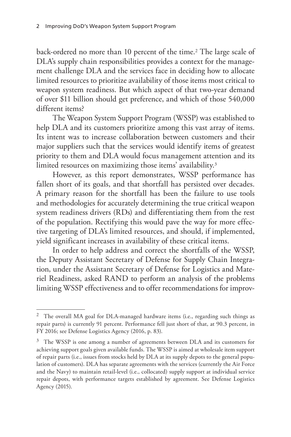back-ordered no more than 10 percent of the time.<sup>2</sup> The large scale of DLA's supply chain responsibilities provides a context for the management challenge DLA and the services face in deciding how to allocate limited resources to prioritize availability of those items most critical to weapon system readiness. But which aspect of that two-year demand of over \$11 billion should get preference, and which of those 540,000 different items?

The Weapon System Support Program (WSSP) was established to help DLA and its customers prioritize among this vast array of items. Its intent was to increase collaboration between customers and their major suppliers such that the services would identify items of greatest priority to them and DLA would focus management attention and its limited resources on maximizing those items' availability.3

However, as this report demonstrates, WSSP performance has fallen short of its goals, and that shortfall has persisted over decades. A primary reason for the shortfall has been the failure to use tools and methodologies for accurately determining the true critical weapon system readiness drivers (RDs) and differentiating them from the rest of the population. Rectifying this would pave the way for more effective targeting of DLA's limited resources, and should, if implemented, yield significant increases in availability of these critical items.

In order to help address and correct the shortfalls of the WSSP, the Deputy Assistant Secretary of Defense for Supply Chain Integration, under the Assistant Secretary of Defense for Logistics and Materiel Readiness, asked RAND to perform an analysis of the problems limiting WSSP effectiveness and to offer recommendations for improv-

<sup>&</sup>lt;sup>2</sup> The overall MA goal for DLA-managed hardware items (i.e., regarding such things as repair parts) is currently 91 percent. Performance fell just short of that, at 90.3 percent, in FY 2016; see Defense Logistics Agency (2016, p. 83).

<sup>&</sup>lt;sup>3</sup> The WSSP is one among a number of agreements between DLA and its customers for achieving support goals given available funds. The WSSP is aimed at wholesale item support of repair parts (i.e., issues from stocks held by DLA at its supply depots to the general population of customers). DLA has separate agreements with the services (currently the Air Force and the Navy) to maintain retail-level (i.e., collocated) supply support at individual service repair depots, with performance targets established by agreement. See Defense Logistics Agency (2015).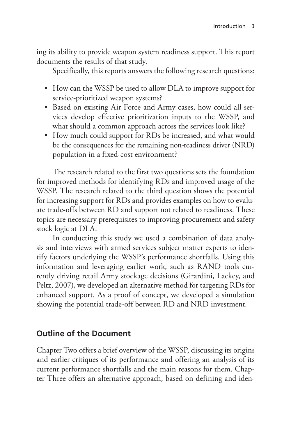ing its ability to provide weapon system readiness support. This report documents the results of that study.

Specifically, this reports answers the following research questions:

- How can the WSSP be used to allow DLA to improve support for service-prioritized weapon systems?
- Based on existing Air Force and Army cases, how could all services develop effective prioritization inputs to the WSSP, and what should a common approach across the services look like?
- How much could support for RDs be increased, and what would be the consequences for the remaining non-readiness driver (NRD) population in a fixed-cost environment?

The research related to the first two questions sets the foundation for improved methods for identifying RDs and improved usage of the WSSP. The research related to the third question shows the potential for increasing support for RDs and provides examples on how to evaluate trade-offs between RD and support not related to readiness. These topics are necessary prerequisites to improving procurement and safety stock logic at DLA.

In conducting this study we used a combination of data analysis and interviews with armed services subject matter experts to identify factors underlying the WSSP's performance shortfalls. Using this information and leveraging earlier work, such as RAND tools currently driving retail Army stockage decisions (Girardini, Lackey, and Peltz, 2007), we developed an alternative method for targeting RDs for enhanced support. As a proof of concept, we developed a simulation showing the potential trade-off between RD and NRD investment.

## **Outline of the Document**

Chapter Two offers a brief overview of the WSSP, discussing its origins and earlier critiques of its performance and offering an analysis of its current performance shortfalls and the main reasons for them. Chapter Three offers an alternative approach, based on defining and iden-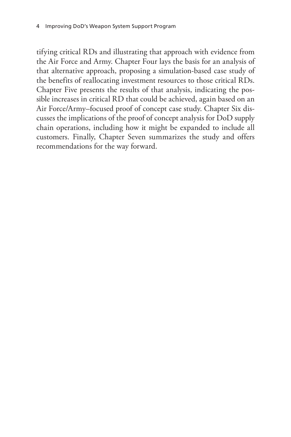tifying critical RDs and illustrating that approach with evidence from the Air Force and Army. Chapter Four lays the basis for an analysis of that alternative approach, proposing a simulation-based case study of the benefits of reallocating investment resources to those critical RDs. Chapter Five presents the results of that analysis, indicating the possible increases in critical RD that could be achieved, again based on an Air Force/Army–focused proof of concept case study. Chapter Six discusses the implications of the proof of concept analysis for DoD supply chain operations, including how it might be expanded to include all customers. Finally, Chapter Seven summarizes the study and offers recommendations for the way forward.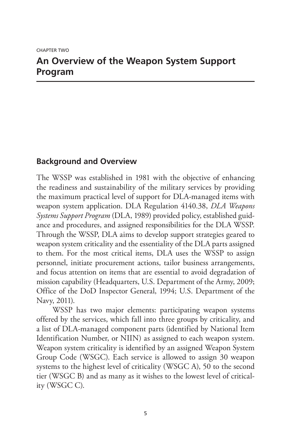# **An Overview of the Weapon System Support Program**

## **Background and Overview**

The WSSP was established in 1981 with the objective of enhancing the readiness and sustainability of the military services by providing the maximum practical level of support for DLA-managed items with weapon system application. DLA Regulation 4140.38, *DLA Weapons Systems Support Program* (DLA, 1989) provided policy, established guidance and procedures, and assigned responsibilities for the DLA WSSP. Through the WSSP, DLA aims to develop support strategies geared to weapon system criticality and the essentiality of the DLA parts assigned to them. For the most critical items, DLA uses the WSSP to assign personnel, initiate procurement actions, tailor business arrangements, and focus attention on items that are essential to avoid degradation of mission capability (Headquarters, U.S. Department of the Army, 2009; Office of the DoD Inspector General, 1994; U.S. Department of the Navy, 2011).

WSSP has two major elements: participating weapon systems offered by the services, which fall into three groups by criticality, and a list of DLA-managed component parts (identified by National Item Identification Number, or NIIN) as assigned to each weapon system. Weapon system criticality is identified by an assigned Weapon System Group Code (WSGC). Each service is allowed to assign 30 weapon systems to the highest level of criticality (WSGC A), 50 to the second tier (WSGC B) and as many as it wishes to the lowest level of criticality (WSGC C).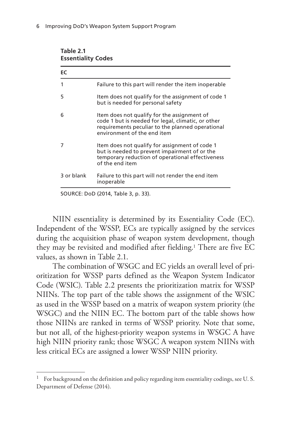| ЕC         |                                                                                                                                                                                      |
|------------|--------------------------------------------------------------------------------------------------------------------------------------------------------------------------------------|
| 1          | Failure to this part will render the item inoperable                                                                                                                                 |
| 5          | Item does not qualify for the assignment of code 1<br>but is needed for personal safety                                                                                              |
| 6          | Item does not qualify for the assignment of<br>code 1 but is needed for legal, climatic, or other<br>requirements peculiar to the planned operational<br>environment of the end item |
| 7          | Item does not qualify for assignment of code 1<br>but is needed to prevent impairment of or the<br>temporary reduction of operational effectiveness<br>of the end item               |
| 3 or blank | Failure to this part will not render the end item<br>inoperable                                                                                                                      |

| Table 2.1                 |  |
|---------------------------|--|
| <b>Essentiality Codes</b> |  |

SOURCE: DoD (2014, Table 3, p. 33).

NIIN essentiality is determined by its Essentiality Code (EC). Independent of the WSSP, ECs are typically assigned by the services during the acquisition phase of weapon system development, though they may be revisited and modified after fielding.1 There are five EC values, as shown in Table 2.1.

The combination of WSGC and EC yields an overall level of prioritization for WSSP parts defined as the Weapon System Indicator Code (WSIC). Table 2.2 presents the prioritization matrix for WSSP NIINs. The top part of the table shows the assignment of the WSIC as used in the WSSP based on a matrix of weapon system priority (the WSGC) and the NIIN EC. The bottom part of the table shows how those NIINs are ranked in terms of WSSP priority. Note that some, but not all, of the highest-priority weapon systems in WSGC A have high NIIN priority rank; those WSGC A weapon system NIINs with less critical ECs are assigned a lower WSSP NIIN priority.

<sup>&</sup>lt;sup>1</sup> For background on the definition and policy regarding item essentiality codings, see U.S. Department of Defense (2014).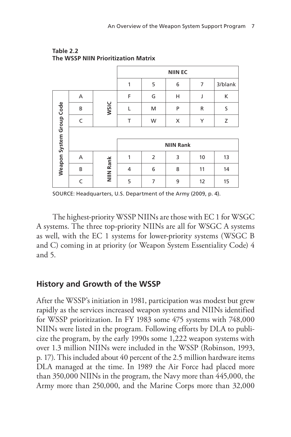|                          |   |                  | <b>NIIN EC</b> |   |                  |    |             |
|--------------------------|---|------------------|----------------|---|------------------|----|-------------|
|                          |   |                  | 1              | 5 | 6                | 7  | 3/blank     |
|                          | Α |                  | F              | G | Η                | J  | Κ           |
|                          | B | <b>WSIC</b>      |                | M | P                | R  | S           |
|                          | C |                  | Τ              | W | Χ                | Υ  | $\mathsf Z$ |
|                          |   |                  |                |   |                  |    |             |
|                          |   |                  |                |   | <b>NIIN Rank</b> |    |             |
|                          | Α |                  | 1              | 2 | 3                | 10 | 13          |
| Weapon System Group Code | B | <b>NIIN Rank</b> | 4              | 6 | 8                | 11 | 14          |
|                          | C |                  | 5              | 7 | 9                | 12 | 15          |

#### **Table 2.2 The WSSP NIIN Prioritization Matrix**

SOURCE: Headquarters, U.S. Department of the Army (2009, p. 4).

The highest-priority WSSP NIINs are those with EC 1 for WSGC A systems. The three top-priority NIINs are all for WSGC A systems as well, with the EC 1 systems for lower-priority systems (WSGC B and C) coming in at priority (or Weapon System Essentiality Code) 4 and 5.

#### **History and Growth of the WSSP**

After the WSSP's initiation in 1981, participation was modest but grew rapidly as the services increased weapon systems and NIINs identified for WSSP prioritization. In FY 1983 some 475 systems with 748,000 NIINs were listed in the program. Following efforts by DLA to publicize the program, by the early 1990s some 1,222 weapon systems with over 1.3 million NIINs were included in the WSSP (Robinson, 1993, p. 17). This included about 40 percent of the 2.5 million hardware items DLA managed at the time. In 1989 the Air Force had placed more than 350,000 NIINs in the program, the Navy more than 445,000, the Army more than 250,000, and the Marine Corps more than 32,000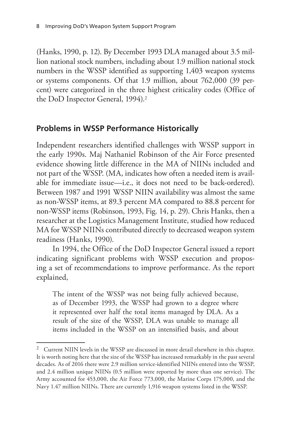(Hanks, 1990, p. 12). By December 1993 DLA managed about 3.5 million national stock numbers, including about 1.9 million national stock numbers in the WSSP identified as supporting 1,403 weapon systems or systems components. Of that 1.9 million, about 762,000 (39 percent) were categorized in the three highest criticality codes (Office of the DoD Inspector General, 1994).<sup>2</sup>

## **Problems in WSSP Performance Historically**

Independent researchers identified challenges with WSSP support in the early 1990s. Maj Nathaniel Robinson of the Air Force presented evidence showing little difference in the MA of NIINs included and not part of the WSSP. (MA, indicates how often a needed item is available for immediate issue—i.e., it does not need to be back-ordered). Between 1987 and 1991 WSSP NIIN availability was almost the same as non-WSSP items, at 89.3 percent MA compared to 88.8 percent for non-WSSP items (Robinson, 1993, Fig. 14, p. 29). Chris Hanks, then a researcher at the Logistics Management Institute, studied how reduced MA for WSSP NIINs contributed directly to decreased weapon system readiness (Hanks, 1990).

In 1994, the Office of the DoD Inspector General issued a report indicating significant problems with WSSP execution and proposing a set of recommendations to improve performance. As the report explained,

The intent of the WSSP was not being fully achieved because, as of December 1993, the WSSP had grown to a degree where it represented over half the total items managed by DLA. As a result of the size of the WSSP, DLA was unable to manage all items included in the WSSP on an intensified basis, and about

 $2$  Current NIIN levels in the WSSP are discussed in more detail elsewhere in this chapter. It is worth noting here that the size of the WSSP has increased remarkably in the past several decades. As of 2016 there were 2.9 million service-identified NIINs entered into the WSSP, and 2.4 million unique NIINs (0.5 million were reported by more than one service). The Army accounted for 453,000, the Air Force 773,000, the Marine Corps 175,000, and the Navy 1.47 million NIINs. There are currently 1,916 weapon systems listed in the WSSP.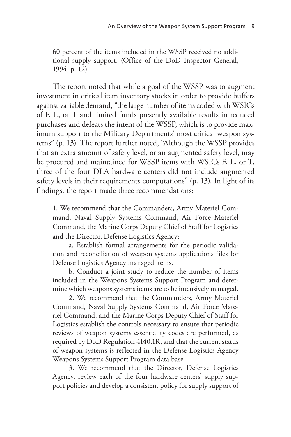60 percent of the items included in the WSSP received no additional supply support. (Office of the DoD Inspector General, 1994, p. 12)

The report noted that while a goal of the WSSP was to augment investment in critical item inventory stocks in order to provide buffers against variable demand, "the large number of items coded with WSICs of F, L, or T and limited funds presently available results in reduced purchases and defeats the intent of the WSSP, which is to provide maximum support to the Military Departments' most critical weapon systems" (p. 13). The report further noted, "Although the WSSP provides that an extra amount of safety level, or an augmented safety level, may be procured and maintained for WSSP items with WSICs F, L, or T, three of the four DLA hardware centers did not include augmented safety levels in their requirements computations" (p. 13). In light of its findings, the report made three recommendations:

1. We recommend that the Commanders, Army Materiel Command, Naval Supply Systems Command, Air Force Materiel Command, the Marine Corps Deputy Chief of Staff for Logistics and the Director, Defense Logistics Agency:

a. Establish formal arrangements for the periodic validation and reconciliation of weapon systems applications files for Defense Logistics Agency managed items.

b. Conduct a joint study to reduce the number of items included in the Weapons Systems Support Program and determine which weapons systems items are to be intensively managed.

2. We recommend that the Commanders, Army Materiel Command, Naval Supply Systems Command, Air Force Materiel Command, and the Marine Corps Deputy Chief of Staff for Logistics establish the controls necessary to ensure that periodic reviews of weapon systems essentiality codes are performed, as required by DoD Regulation 4140.1R, and that the current status of weapon systems is reflected in the Defense Logistics Agency Weapons Systems Support Program data base.

3. We recommend that the Director, Defense Logistics Agency, review each of the four hardware centers' supply support policies and develop a consistent policy for supply support of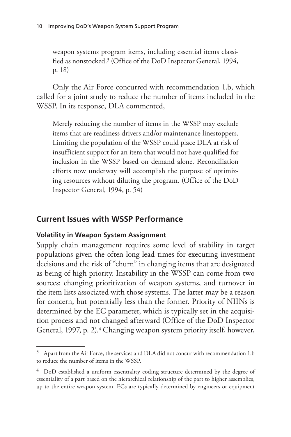weapon systems program items, including essential items classified as nonstocked.3 (Office of the DoD Inspector General, 1994, p. 18)

Only the Air Force concurred with recommendation 1.b, which called for a joint study to reduce the number of items included in the WSSP. In its response, DLA commented,

Merely reducing the number of items in the WSSP may exclude items that are readiness drivers and/or maintenance linestoppers. Limiting the population of the WSSP could place DLA at risk of insufficient support for an item that would not have qualified for inclusion in the WSSP based on demand alone. Reconciliation efforts now underway will accomplish the purpose of optimizing resources without diluting the program. (Office of the DoD Inspector General, 1994, p. 54)

#### **Current Issues with WSSP Performance**

#### **Volatility in Weapon System Assignment**

Supply chain management requires some level of stability in target populations given the often long lead times for executing investment decisions and the risk of "churn" in changing items that are designated as being of high priority. Instability in the WSSP can come from two sources: changing prioritization of weapon systems, and turnover in the item lists associated with those systems. The latter may be a reason for concern, but potentially less than the former. Priority of NIINs is determined by the EC parameter, which is typically set in the acquisition process and not changed afterward (Office of the DoD Inspector General, 1997, p. 2).<sup>4</sup> Changing weapon system priority itself, however,

 $3$  Apart from the Air Force, the services and DLA did not concur with recommendation 1.b to reduce the number of items in the WSSP.

<sup>4</sup> DoD established a uniform essentiality coding structure determined by the degree of essentiality of a part based on the hierarchical relationship of the part to higher assemblies, up to the entire weapon system. ECs are typically determined by engineers or equipment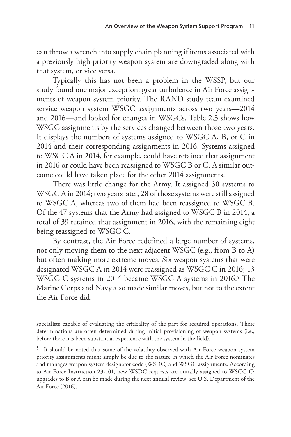can throw a wrench into supply chain planning if items associated with a previously high-priority weapon system are downgraded along with that system, or vice versa.

Typically this has not been a problem in the WSSP, but our study found one major exception: great turbulence in Air Force assignments of weapon system priority. The RAND study team examined service weapon system WSGC assignments across two years—2014 and 2016—and looked for changes in WSGCs. Table 2.3 shows how WSGC assignments by the services changed between those two years. It displays the numbers of systems assigned to WSGC A, B, or C in 2014 and their corresponding assignments in 2016. Systems assigned to WSGC A in 2014, for example, could have retained that assignment in 2016 or could have been reassigned to WSGC B or C. A similar outcome could have taken place for the other 2014 assignments.

There was little change for the Army. It assigned 30 systems to WSGC A in 2014; two years later, 28 of those systems were still assigned to WSGC A, whereas two of them had been reassigned to WSGC B. Of the 47 systems that the Army had assigned to WSGC B in 2014, a total of 39 retained that assignment in 2016, with the remaining eight being reassigned to WSGC C.

By contrast, the Air Force redefined a large number of systems, not only moving them to the next adjacent WSGC (e.g., from B to A) but often making more extreme moves. Six weapon systems that were designated WSGC A in 2014 were reassigned as WSGC C in 2016; 13 WSGC C systems in 2014 became WSGC A systems in 2016.<sup>5</sup> The Marine Corps and Navy also made similar moves, but not to the extent the Air Force did.

specialists capable of evaluating the criticality of the part for required operations. These determinations are often determined during initial provisioning of weapon systems (i.e., before there has been substantial experience with the system in the field).

<sup>&</sup>lt;sup>5</sup> It should be noted that some of the volatility observed with Air Force weapon system priority assignments might simply be due to the nature in which the Air Force nominates and manages weapon system designator code (WSDC) and WSGC assignments. According to Air Force Instruction 23-101, new WSDC requests are initially assigned to WSCG C; upgrades to B or A can be made during the next annual review; see U.S. Department of the Air Force (2016).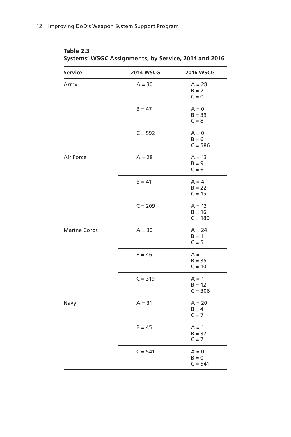| Service             | <b>2014 WSCG</b> | <b>2016 WSCG</b>                  |
|---------------------|------------------|-----------------------------------|
| Army                | $A = 30$         | $A = 28$<br>$B = 2$<br>$C = 0$    |
|                     | $B = 47$         | $A = 0$<br>$B = 39$<br>$C = 8$    |
|                     | $C = 592$        | $A = 0$<br>$B = 6$<br>$C = 586$   |
| Air Force           | $A = 28$         | $A = 13$<br>$B = 9$<br>$C = 6$    |
|                     | $B = 41$         | $A = 4$<br>$B = 22$<br>$C = 15$   |
|                     | $C = 209$        | $A = 13$<br>$B = 16$<br>$C = 180$ |
| <b>Marine Corps</b> | $A = 30$         | $A = 24$<br>$B = 1$<br>$C = 5$    |
|                     | $B = 46$         | $A = 1$<br>$B = 35$<br>$C = 10$   |
|                     | $C = 319$        | $A = 1$<br>$B = 12$<br>$C = 306$  |
| Navy                | $A = 31$         | $A = 20$<br>$B = 4$<br>$C = 7$    |
|                     | $B = 45$         | $A = 1$<br>$B = 37$<br>$C = 7$    |
|                     | $C = 541$        | $A = 0$<br>$B = 0$<br>$C = 541$   |

**Table 2.3 Systems' WSGC Assignments, by Service, 2014 and 2016**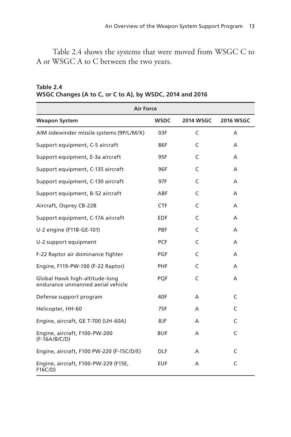Table 2.4 shows the systems that were moved from WSGC C to A or WSGC A to C between the two years.

#### **Table 2.4 WSGC Changes (A to C, or C to A), by WSDC, 2014 and 2016**

| <b>Air Force</b>                                                    |             |                  |                  |  |  |
|---------------------------------------------------------------------|-------------|------------------|------------------|--|--|
| <b>Weapon System</b>                                                | <b>WSDC</b> | <b>2014 WSGC</b> | <b>2016 WSGC</b> |  |  |
| AIM sidewinder missile systems (9P/L/M/X)                           | 03F         | C                | A                |  |  |
| Support equipment, C-5 aircraft                                     | 86F         | C                | А                |  |  |
| Support equipment, E-3a aircraft                                    | 95F         | C                | А                |  |  |
| Support equipment, C-135 aircraft                                   | 96F         | C                | A                |  |  |
| Support equipment, C-130 aircraft                                   | 97F         | C                | A                |  |  |
| Support equipment, B-52 aircraft                                    | ABF         | C                | A                |  |  |
| Aircraft, Osprey CB-22B                                             | <b>CTF</b>  | C                | A                |  |  |
| Support equipment, C-17A aircraft                                   | EDF         | C                | A                |  |  |
| U-2 engine (F118-GE-101)                                            | <b>PBF</b>  | C                | A                |  |  |
| U-2 support equipment                                               | <b>PCF</b>  | C                | А                |  |  |
| F-22 Raptor air dominance fighter                                   | PGF         | C                | А                |  |  |
| Engine, F119-PW-100 (F-22 Raptor)                                   | <b>PHF</b>  | C                | A                |  |  |
| Global Hawk high-altitude-long<br>endurance unmanned aerial vehicle | <b>PQF</b>  | C                | A                |  |  |
| Defense support program                                             | 40F         | A                | C                |  |  |
| Helicopter, HH-60                                                   | 75F         | A                | C                |  |  |
| Engine, aircraft, GE T-700 (UH-60A)                                 | <b>BJF</b>  | A                | C                |  |  |
| Engine, aircraft, F100-PW-200<br>(F-16A/B/C/D)                      | <b>BUF</b>  | А                | C                |  |  |
| Engine, aircraft, F100 PW-220 (F-15C/D/E)                           | DLF         | A                | C                |  |  |
| Engine, aircraft, F100-PW-229 (F15E,<br>F16C/D                      | EUF         | A                | C                |  |  |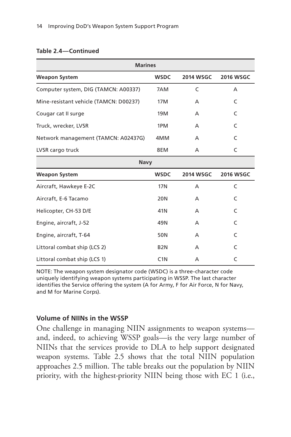#### **Table 2.4—Continued**

| <b>Marines</b>                         |                 |                  |                  |  |  |
|----------------------------------------|-----------------|------------------|------------------|--|--|
| <b>Weapon System</b>                   | <b>WSDC</b>     | <b>2014 WSGC</b> | <b>2016 WSGC</b> |  |  |
| Computer system, DIG (TAMCN: A00337)   | 7AM             | C                | A                |  |  |
| Mine-resistant vehicle (TAMCN: D00237) | 17 <sub>M</sub> | A                | C                |  |  |
| Cougar cat II surge                    | 19 <sub>M</sub> | A                | C                |  |  |
| Truck, wrecker, LVSR                   | 1PM             | A                | C                |  |  |
| Network management (TAMCN: A02437G)    | 4MM             | A                | C                |  |  |
| LVSR cargo truck                       | 8EM<br>A        |                  | C                |  |  |
| Navy                                   |                 |                  |                  |  |  |
| <b>Weapon System</b>                   | <b>WSDC</b>     | <b>2014 WSGC</b> | <b>2016 WSGC</b> |  |  |
| Aircraft, Hawkeye E-2C                 | <b>17N</b>      | A                | C                |  |  |
| Aircraft, E-6 Tacamo                   | 20 <sub>N</sub> | A                | C                |  |  |
| Helicopter, CH-53 D/E                  | 41N             | A                | C                |  |  |
| Engine, aircraft, J-52                 | 49N             | A                | C                |  |  |
| Engine, aircraft, T-64                 | 50N             | A                | C                |  |  |
| Littoral combat ship (LCS 2)           | B <sub>2N</sub> | A                | C                |  |  |
| Littoral combat ship (LCS 1)           | C1N             | A                | C                |  |  |

NOTE: The weapon system designator code (WSDC) is a three-character code uniquely identifying weapon systems participating in WSSP. The last character identifies the Service offering the system (A for Army, F for Air Force, N for Navy, and M for Marine Corps).

#### **Volume of NIINs in the WSSP**

One challenge in managing NIIN assignments to weapon systems and, indeed, to achieving WSSP goals—is the very large number of NIINs that the services provide to DLA to help support designated weapon systems. Table 2.5 shows that the total NIIN population approaches 2.5 million. The table breaks out the population by NIIN priority, with the highest-priority NIIN being those with EC 1 (i.e.,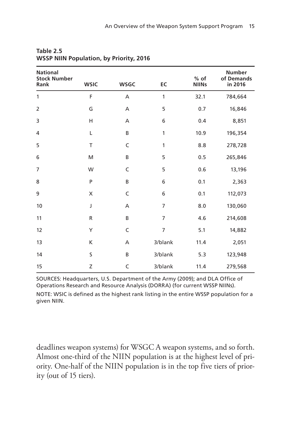| <b>National</b><br><b>Stock Number</b><br>Rank | <b>WSIC</b> | <b>WSGC</b> | EC             | $%$ of<br><b>NIINs</b> | <b>Number</b><br>of Demands<br>in 2016 |
|------------------------------------------------|-------------|-------------|----------------|------------------------|----------------------------------------|
| 1                                              | F           | Α           | $\mathbf{1}$   | 32.1                   | 784,664                                |
| $\overline{2}$                                 | G           | Α           | 5              | 0.7                    | 16,846                                 |
| 3                                              | H           | A           | 6              | 0.4                    | 8,851                                  |
| 4                                              | L           | B           | 1              | 10.9                   | 196,354                                |
| 5                                              | T           | C           | $\mathbf{1}$   | 8.8                    | 278,728                                |
| 6                                              | M           | B           | 5              | 0.5                    | 265,846                                |
| $\overline{7}$                                 | W           | C           | 5              | 0.6                    | 13,196                                 |
| 8                                              | P           | B           | 6              | 0.1                    | 2,363                                  |
| 9                                              | X           | C           | 6              | 0.1                    | 112,073                                |
| 10                                             | J           | Α           | $\overline{7}$ | 8.0                    | 130,060                                |
| 11                                             | R           | B           | 7              | 4.6                    | 214,608                                |
| 12                                             | Y           | C           | $\overline{7}$ | 5.1                    | 14,882                                 |
| 13                                             | K           | A           | 3/blank        | 11.4                   | 2,051                                  |
| 14                                             | S           | B           | 3/blank        | 5.3                    | 123,948                                |
| 15                                             | Z           | C           | 3/blank        | 11.4                   | 279,568                                |

#### **Table 2.5 WSSP NIIN Population, by Priority, 2016**

SOURCES: Headquarters, U.S. Department of the Army (2009); and DLA Office of Operations Research and Resource Analysis (DORRA) (for current WSSP NIINs).

NOTE: WSIC is defined as the highest rank listing in the entire WSSP population for a given NIIN.

deadlines weapon systems) for WSGC A weapon systems, and so forth. Almost one-third of the NIIN population is at the highest level of priority. One-half of the NIIN population is in the top five tiers of priority (out of 15 tiers).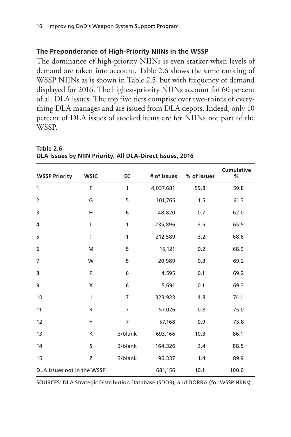### **The Preponderance of High-Priority NIINs in the WSSP**

The dominance of high-priority NIINs is even starker when levels of demand are taken into account. Table 2.6 shows the same ranking of WSSP NIINs as is shown in Table 2.5, but with frequency of demand displayed for 2016. The highest-priority NIINs account for 60 percent of all DLA issues. The top five tiers comprise over two-thirds of everything DLA manages and are issued from DLA depots. Indeed, only 10 percent of DLA issues of stocked items are for NIINs not part of the WSSP.

| <b>WSSP Priority</b>       | <b>WSIC</b> | EC             | # of Issues | % of Issues | <b>Cumulative</b><br>% |
|----------------------------|-------------|----------------|-------------|-------------|------------------------|
| 1                          | F           | 1              | 4,037,681   | 59.8        | 59.8                   |
| $\overline{2}$             | G           | 5              | 101,765     | 1.5         | 61.3                   |
| 3                          | Н           | 6              | 48,820      | 0.7         | 62.0                   |
| 4                          | Г           | 1              | 235,896     | 3.5         | 65.5                   |
| 5                          | T           | $\mathbf{1}$   | 212,589     | 3.2         | 68.6                   |
| 6                          | M           | 5              | 15,121      | 0.2         | 68.9                   |
| $\overline{7}$             | W           | 5              | 20,989      | 0.3         | 69.2                   |
| 8                          | P           | 6              | 4,595       | 0.1         | 69.2                   |
| 9                          | X           | 6              | 5,691       | 0.1         | 69.3                   |
| 10                         | J           | $\overline{7}$ | 323,923     | 4.8         | 74.1                   |
| 11                         | R           | $\overline{7}$ | 57,026      | 0.8         | 75.0                   |
| 12                         | Y           | $\overline{7}$ | 57,168      | 0.9         | 75.8                   |
| 13                         | K           | 3/blank        | 693,166     | 10.3        | 86.1                   |
| 14                         | S           | 3/blank        | 164,326     | 2.4         | 88.5                   |
| 15                         | Z           | 3/blank        | 96,337      | 1.4         | 89.9                   |
| DLA issues not in the WSSP |             |                | 681,156     | 10.1        | 100.0                  |

**Table 2.6 DLA Issues by NIIN Priority, All DLA-Direct Issues, 2016**

SOURCES: DLA Strategic Distribution Database (SDDB); and DORRA (for WSSP NIINs).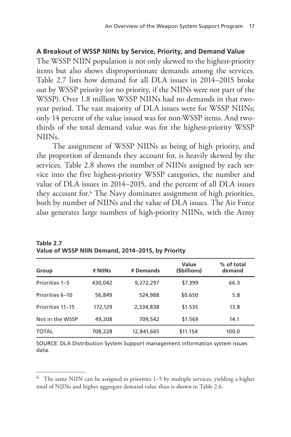#### **A Breakout of WSSP NIINs by Service, Priority, and Demand Value**

The WSSP NIIN population is not only skewed to the highest-priority items but also shows disproportionate demands among the services. Table 2.7 lists how demand for all DLA issues in 2014–2015 broke out by WSSP priority (or no priority, if the NIINs were not part of the WSSP). Over 1.8 million WSSP NIINs had no demands in that twoyear period. The vast majority of DLA issues were for WSSP NIINs; only 14 percent of the value issued was for non-WSSP items. And twothirds of the total demand value was for the highest-priority WSSP NIINs.

The assignment of WSSP NIINs as being of high priority, and the proportion of demands they account for, is heavily skewed by the services. Table 2.8 shows the number of NIINs assigned by each service into the five highest-priority WSSP categories, the number and value of DLA issues in 2014–2015, and the percent of all DLA issues they account for.6 The Navy dominates assignment of high priorities, both by number of NIINs and the value of DLA issues. The Air Force also generates large numbers of high-priority NIINs, with the Army

| Group            | # NIINs | # Demands  | Value<br>(Sbillions) | % of total<br>demand |
|------------------|---------|------------|----------------------|----------------------|
| Priorities 1-5   | 430,042 | 9,272,297  | \$7.399              | 66.3                 |
| Priorities 6-10  | 56,849  | 524,988    | \$0.650              | 5.8                  |
| Priorities 11-15 | 172.129 | 2,334,838  | \$1.535              | 13.8                 |
| Not in the WSSP  | 49,208  | 709.542    | \$1.569              | 14.1                 |
| <b>TOTAL</b>     | 708,228 | 12,841,665 | \$11.154             | 100.0                |

**Table 2.7 Value of WSSP NIIN Demand, 2014–2015, by Priority**

SOURCE: DLA Distribution System Support management information system issues data.

 $6$  The same NIIN can be assigned to priorities 1–5 by multiple services, yielding a higher total of NIINs and higher aggregate demand value than is shown in Table 2.6.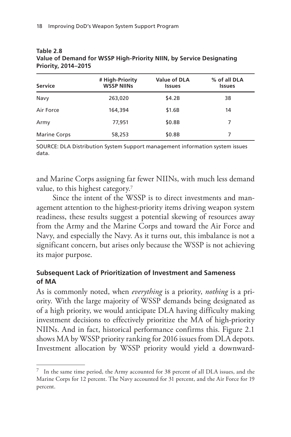**Table 2.8**

| <b>Service</b>      | # High-Priority<br><b>WSSP NIINS</b> | <b>Value of DLA</b><br><b>Issues</b> | % of all DLA<br><b>Issues</b> |
|---------------------|--------------------------------------|--------------------------------------|-------------------------------|
| Navy                | 263,020                              | \$4.2B                               | 38                            |
| Air Force           | 164,394                              | \$1.6B                               | 14                            |
| Army                | 77,951                               | \$0.8B                               |                               |
| <b>Marine Corps</b> | 58,253                               | \$0.8B                               |                               |

| Table 2.8                                                           |
|---------------------------------------------------------------------|
| Value of Demand for WSSP High-Priority NIIN, by Service Designating |
| <b>Priority, 2014-2015</b>                                          |

SOURCE: DLA Distribution System Support management information system issues data.

and Marine Corps assigning far fewer NIINs, with much less demand value, to this highest category.7

Since the intent of the WSSP is to direct investments and management attention to the highest-priority items driving weapon system readiness, these results suggest a potential skewing of resources away from the Army and the Marine Corps and toward the Air Force and Navy, and especially the Navy. As it turns out, this imbalance is not a significant concern, but arises only because the WSSP is not achieving its major purpose.

## **Subsequent Lack of Prioritization of Investment and Sameness of MA**

As is commonly noted, when *everything* is a priority, *nothing* is a priority. With the large majority of WSSP demands being designated as of a high priority, we would anticipate DLA having difficulty making investment decisions to effectively prioritize the MA of high-priority NIINs. And in fact, historical performance confirms this. Figure 2.1 shows MA by WSSP priority ranking for 2016 issues from DLA depots. Investment allocation by WSSP priority would yield a downward-

<sup>7</sup> In the same time period, the Army accounted for 38 percent of all DLA issues, and the Marine Corps for 12 percent. The Navy accounted for 31 percent, and the Air Force for 19 percent.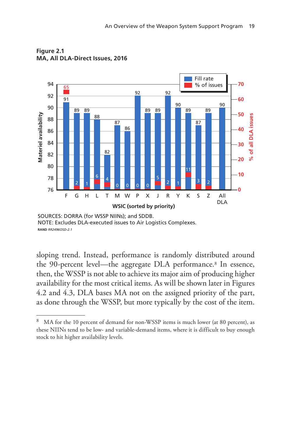

**Figure 2.1 MA, All DLA-Direct Issues, 2016**

sloping trend. Instead, performance is randomly distributed around the 90-percent level—the aggregate DLA performance.8 In essence, then, the WSSP is not able to achieve its major aim of producing higher availability for the most critical items. As will be shown later in Figures 4.2 and 4.3, DLA bases MA not on the assigned priority of the part, as done through the WSSP, but more typically by the cost of the item.

SOURCES: DORRA (for WSSP NIINs); and SDDB. NOTE: Excludes DLA-executed issues to Air Logistics Complexes.

<sup>8</sup> MA for the 10 percent of demand for non-WSSP items is much lower (at 80 percent), as these NIINs tend to be low- and variable-demand items, where it is difficult to buy enough stock to hit higher availability levels.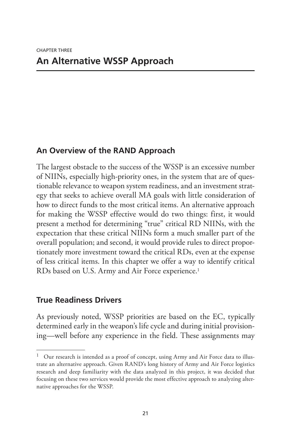## **An Overview of the RAND Approach**

The largest obstacle to the success of the WSSP is an excessive number of NIINs, especially high-priority ones, in the system that are of questionable relevance to weapon system readiness, and an investment strategy that seeks to achieve overall MA goals with little consideration of how to direct funds to the most critical items. An alternative approach for making the WSSP effective would do two things: first, it would present a method for determining "true" critical RD NIINs, with the expectation that these critical NIINs form a much smaller part of the overall population; and second, it would provide rules to direct proportionately more investment toward the critical RDs, even at the expense of less critical items. In this chapter we offer a way to identify critical RDs based on U.S. Army and Air Force experience.<sup>1</sup>

### **True Readiness Drivers**

As previously noted, WSSP priorities are based on the EC, typically determined early in the weapon's life cycle and during initial provisioning—well before any experience in the field. These assignments may

<sup>&</sup>lt;sup>1</sup> Our research is intended as a proof of concept, using Army and Air Force data to illustrate an alternative approach. Given RAND's long history of Army and Air Force logistics research and deep familiarity with the data analyzed in this project, it was decided that focusing on these two services would provide the most effective approach to analyzing alternative approaches for the WSSP.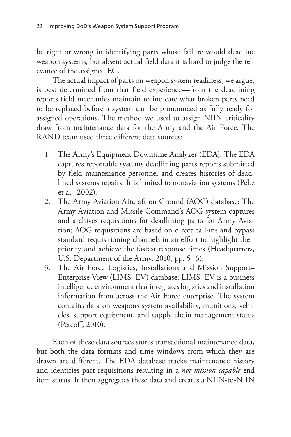be right or wrong in identifying parts whose failure would deadline weapon systems, but absent actual field data it is hard to judge the relevance of the assigned EC.

The actual impact of parts on weapon system readiness, we argue, is best determined from that field experience—from the deadlining reports field mechanics maintain to indicate what broken parts need to be replaced before a system can be pronounced as fully ready for assigned operations. The method we used to assign NIIN criticality draw from maintenance data for the Army and the Air Force. The RAND team used three different data sources:

- 1. The Army's Equipment Downtime Analyzer (EDA): The EDA captures reportable systems deadlining parts reports submitted by field maintenance personnel and creates histories of deadlined systems repairs. It is limited to nonaviation systems (Peltz et al., 2002).
- 2. The Army Aviation Aircraft on Ground (AOG) database: The Army Aviation and Missile Command's AOG system captures and archives requisitions for deadlining parts for Army Aviation; AOG requisitions are based on direct call-ins and bypass standard requisitioning channels in an effort to highlight their priority and achieve the fastest response times (Headquarters, U.S. Department of the Army, 2010, pp. 5–6).
- 3. The Air Force Logistics, Installations and Mission Support– Enterprise View (LIMS–EV) database: LIMS–EV is a business intelligence environment that integrates logistics and installation information from across the Air Force enterprise. The system contains data on weapons system availability, munitions, vehicles, support equipment, and supply chain management status (Petcoff, 2010).

Each of these data sources stores transactional maintenance data, but both the data formats and time windows from which they are drawn are different. The EDA database tracks maintenance history and identifies part requisitions resulting in a *not mission capable* end item status. It then aggregates these data and creates a NIIN-to-NIIN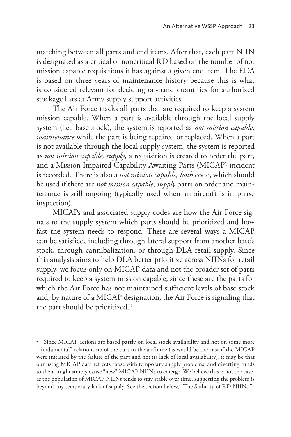matching between all parts and end items. After that, each part NIIN is designated as a critical or noncritical RD based on the number of not mission capable requisitions it has against a given end item. The EDA is based on three years of maintenance history because this is what is considered relevant for deciding on-hand quantities for authorized stockage lists at Army supply support activities.

The Air Force tracks all parts that are required to keep a system mission capable. When a part is available through the local supply system (i.e., base stock), the system is reported as *not mission capable, maintenance* while the part is being repaired or replaced. When a part is not available through the local supply system, the system is reported as *not mission capable, supply*, a requisition is created to order the part, and a Mission Impaired Capability Awaiting Parts (MICAP) incident is recorded. There is also a *not mission capable, both* code, which should be used if there are *not mission capable, supply* parts on order and maintenance is still ongoing (typically used when an aircraft is in phase inspection).

MICAPs and associated supply codes are how the Air Force signals to the supply system which parts should be prioritized and how fast the system needs to respond. There are several ways a MICAP can be satisfied, including through lateral support from another base's stock, through cannibalization, or through DLA retail supply. Since this analysis aims to help DLA better prioritize across NIINs for retail supply, we focus only on MICAP data and not the broader set of parts required to keep a system mission capable, since these are the parts for which the Air Force has not maintained sufficient levels of base stock and, by nature of a MICAP designation, the Air Force is signaling that the part should be prioritized.2

<sup>&</sup>lt;sup>2</sup> Since MICAP actions are based partly on local stock availability and not on some more "fundamental" relationship of the part to the airframe (as would be the case if the MICAP were initiated by the failure of the part and not its lack of local availability), it may be that our using MICAP data reflects those with temporary supply problems, and diverting funds to them might simply cause "new" MICAP NIINs to emerge. We believe this is not the case, as the population of MICAP NIINs tends to stay stable over time, suggesting the problem is beyond any temporary lack of supply. See the section below, "The Stability of RD NIINs."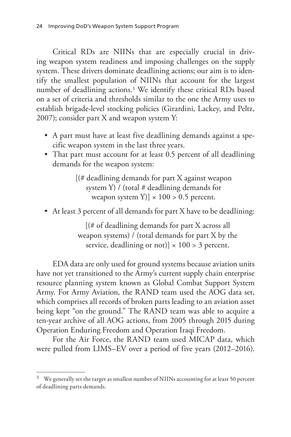Critical RDs are NIINs that are especially crucial in driving weapon system readiness and imposing challenges on the supply system. These drivers dominate deadlining actions; our aim is to identify the smallest population of NIINs that account for the largest number of deadlining actions.3 We identify these critical RDs based on a set of criteria and thresholds similar to the one the Army uses to establish brigade-level stocking policies (Girardini, Lackey, and Peltz, 2007); consider part X and weapon system Y:

- A part must have at least five deadlining demands against a specific weapon system in the last three years.
- That part must account for at least 0.5 percent of all deadlining demands for the weapon system:

[(# deadlining demands for part X against weapon system Y) / (total  $#$  deadlining demands for weapon system Y)]  $\times$  100 > 0.5 percent.

• At least 3 percent of all demands for part X have to be deadlining:

[(# of deadlining demands for part X across all weapon systems) / (total demands for part X by the service, deadlining or not)]  $\times$  100 > 3 percent.

EDA data are only used for ground systems because aviation units have not yet transitioned to the Army's current supply chain enterprise resource planning system known as Global Combat Support System Army. For Army Aviation, the RAND team used the AOG data set, which comprises all records of broken parts leading to an aviation asset being kept "on the ground." The RAND team was able to acquire a ten-year archive of all AOG actions, from 2005 through 2015 during Operation Enduring Freedom and Operation Iraqi Freedom.

For the Air Force, the RAND team used MICAP data, which were pulled from LIMS–EV over a period of five years (2012–2016).

 $3$  We generally set the target as smallest number of NIINs accounting for at least 50 percent of deadlining parts demands.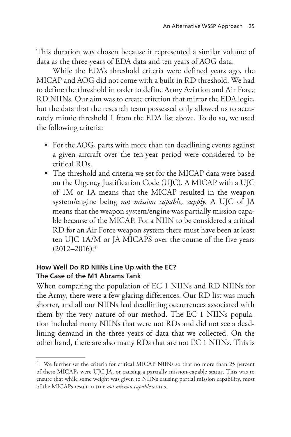This duration was chosen because it represented a similar volume of data as the three years of EDA data and ten years of AOG data.

While the EDA's threshold criteria were defined years ago, the MICAP and AOG did not come with a built-in RD threshold. We had to define the threshold in order to define Army Aviation and Air Force RD NIINs. Our aim was to create criterion that mirror the EDA logic, but the data that the research team possessed only allowed us to accurately mimic threshold 1 from the EDA list above. To do so, we used the following criteria:

- For the AOG, parts with more than ten deadlining events against a given aircraft over the ten-year period were considered to be critical RDs.
- The threshold and criteria we set for the MICAP data were based on the Urgency Justification Code (UJC). A MICAP with a UJC of 1M or 1A means that the MICAP resulted in the weapon system/engine being *not mission capable, supply*. A UJC of JA means that the weapon system/engine was partially mission capable because of the MICAP. For a NIIN to be considered a critical RD for an Air Force weapon system there must have been at least ten UJC 1A/M or JA MICAPS over the course of the five years  $(2012–2016).4$

## **How Well Do RD NIINs Line Up with the EC? The Case of the M1 Abrams Tank**

When comparing the population of EC 1 NIINs and RD NIINs for the Army, there were a few glaring differences. Our RD list was much shorter, and all our NIINs had deadlining occurrences associated with them by the very nature of our method. The EC 1 NIINs population included many NIINs that were not RDs and did not see a deadlining demand in the three years of data that we collected. On the other hand, there are also many RDs that are not EC 1 NIINs. This is

<sup>&</sup>lt;sup>4</sup> We further set the criteria for critical MICAP NIINs so that no more than 25 percent of these MICAPs were UJC JA, or causing a partially mission-capable status. This was to ensure that while some weight was given to NIINs causing partial mission capability, most of the MICAPs result in true *not mission capable* status.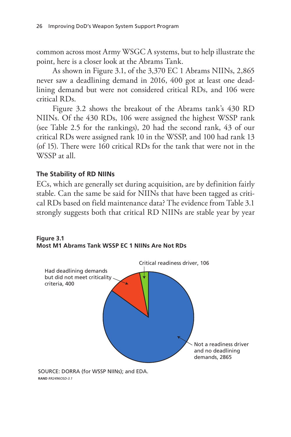common across most Army WSGC A systems, but to help illustrate the point, here is a closer look at the Abrams Tank.

As shown in Figure 3.1, of the 3,370 EC 1 Abrams NIINs, 2,865 never saw a deadlining demand in 2016, 400 got at least one deadlining demand but were not considered critical RDs, and 106 were critical RDs.

Figure 3.2 shows the breakout of the Abrams tank's 430 RD NIINs. Of the 430 RDs, 106 were assigned the highest WSSP rank (see Table 2.5 for the rankings), 20 had the second rank, 43 of our critical RDs were assigned rank 10 in the WSSP, and 100 had rank 13 (of 15). There were 160 critical RDs for the tank that were not in the WSSP at all.

### **The Stability of RD NIINs**

ECs, which are generally set during acquisition, are by definition fairly stable. Can the same be said for NIINs that have been tagged as critical RDs based on field maintenance data? The evidence from Table 3.1 strongly suggests both that critical RD NIINs are stable year by year



**Figure 3.1 Most M1 Abrams Tank WSSP EC 1 NIINs Are Not RDs**

SOURCE: DORRA (for WSSP NIINs); and EDA. **RAND** *RR2496OSD-3.1*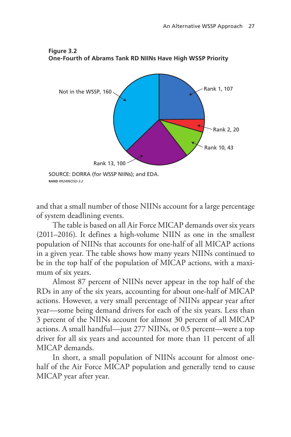

#### **Figure 3.2 One-Fourth of Abrams Tank RD NIINs Have High WSSP Priority**

and that a small number of those NIINs account for a large percentage of system deadlining events.

The table is based on all Air Force MICAP demands over six years (2011–2016). It defines a high-volume NIIN as one in the smallest population of NIINs that accounts for one-half of all MICAP actions in a given year. The table shows how many years NIINs continued to be in the top half of the population of MICAP actions, with a maximum of six years.

Almost 87 percent of NIINs never appear in the top half of the RDs in any of the six years, accounting for about one-half of MICAP actions. However, a very small percentage of NIINs appear year after year—some being demand drivers for each of the six years. Less than 3 percent of the NIINs account for almost 30 percent of all MICAP actions. A small handful—just 277 NIINs, or 0.5 percent—were a top driver for all six years and accounted for more than 11 percent of all MICAP demands.

In short, a small population of NIINs account for almost onehalf of the Air Force MICAP population and generally tend to cause MICAP year after year.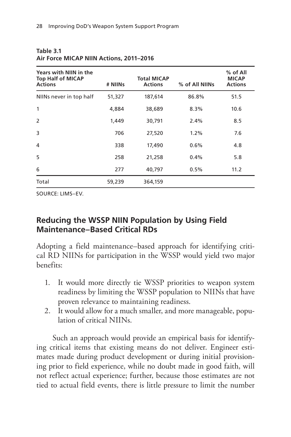| <b>Years with NIIN in the</b><br><b>Top Half of MICAP</b><br><b>Actions</b> | # NIINs | <b>Total MICAP</b><br><b>Actions</b> | % of All NIINs | % of All<br><b>MICAP</b><br><b>Actions</b> |
|-----------------------------------------------------------------------------|---------|--------------------------------------|----------------|--------------------------------------------|
| NIINs never in top half                                                     | 51,327  | 187,614                              | 86.8%          | 51.5                                       |
| 1                                                                           | 4,884   | 38,689                               | 8.3%           | 10.6                                       |
| 2                                                                           | 1,449   | 30,791                               | 2.4%           | 8.5                                        |
| 3                                                                           | 706     | 27,520                               | 1.2%           | 7.6                                        |
| 4                                                                           | 338     | 17,490                               | 0.6%           | 4.8                                        |
| 5                                                                           | 258     | 21,258                               | 0.4%           | 5.8                                        |
| 6                                                                           | 277     | 40,797                               | 0.5%           | 11.2                                       |
| Total                                                                       | 59,239  | 364,159                              |                |                                            |

#### **Table 3.1 Air Force MICAP NIIN Actions, 2011–2016**

SOURCE: LIMS–EV.

## **Reducing the WSSP NIIN Population by Using Field Maintenance–Based Critical RDs**

Adopting a field maintenance–based approach for identifying critical RD NIINs for participation in the WSSP would yield two major benefits:

- 1. It would more directly tie WSSP priorities to weapon system readiness by limiting the WSSP population to NIINs that have proven relevance to maintaining readiness.
- 2. It would allow for a much smaller, and more manageable, population of critical NIINs.

Such an approach would provide an empirical basis for identifying critical items that existing means do not deliver. Engineer estimates made during product development or during initial provisioning prior to field experience, while no doubt made in good faith, will not reflect actual experience; further, because those estimates are not tied to actual field events, there is little pressure to limit the number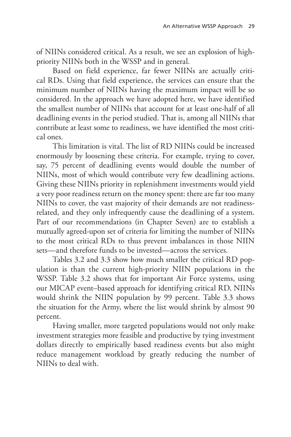of NIINs considered critical. As a result, we see an explosion of highpriority NIINs both in the WSSP and in general.

Based on field experience, far fewer NIINs are actually critical RDs. Using that field experience, the services can ensure that the minimum number of NIINs having the maximum impact will be so considered. In the approach we have adopted here, we have identified the smallest number of NIINs that account for at least one-half of all deadlining events in the period studied. That is, among all NIINs that contribute at least some to readiness, we have identified the most critical ones.

This limitation is vital. The list of RD NIINs could be increased enormously by loosening these criteria. For example, trying to cover, say, 75 percent of deadlining events would double the number of NIINs, most of which would contribute very few deadlining actions. Giving these NIINs priority in replenishment investments would yield a very poor readiness return on the money spent: there are far too many NIINs to cover, the vast majority of their demands are not readinessrelated, and they only infrequently cause the deadlining of a system. Part of our recommendations (in Chapter Seven) are to establish a mutually agreed-upon set of criteria for limiting the number of NIINs to the most critical RDs to thus prevent imbalances in those NIIN sets—and therefore funds to be invested—across the services.

Tables 3.2 and 3.3 show how much smaller the critical RD population is than the current high-priority NIIN populations in the WSSP. Table 3.2 shows that for important Air Force systems, using our MICAP event–based approach for identifying critical RD, NIINs would shrink the NIIN population by 99 percent. Table 3.3 shows the situation for the Army, where the list would shrink by almost 90 percent.

Having smaller, more targeted populations would not only make investment strategies more feasible and productive by tying investment dollars directly to empirically based readiness events but also might reduce management workload by greatly reducing the number of NIINs to deal with.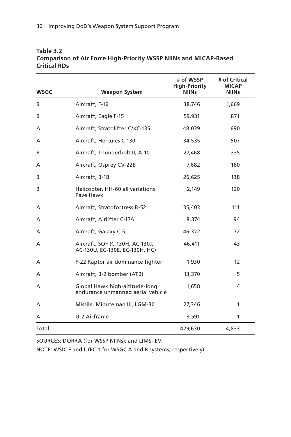| <b>WSGC</b> | <b>Weapon System</b>                                                | # of WSSP<br><b>High-Priority</b><br><b>NIINs</b> | # of Critical<br><b>MICAP</b><br><b>NIINs</b> |
|-------------|---------------------------------------------------------------------|---------------------------------------------------|-----------------------------------------------|
| B           | Aircraft, F-16                                                      | 38,746                                            | 1,669                                         |
| B           | Aircraft, Eagle F-15                                                | 59,931                                            | 871                                           |
| A           | Aircraft, Stratolifter C/KC-135                                     | 48,039                                            | 690                                           |
| A           | Aircraft, Hercules C-130                                            | 34,535                                            | 507                                           |
| B           | Aircraft, Thunderbolt II, A-10                                      | 27,468                                            | 335                                           |
| A           | Aircraft, Osprey CV-22B                                             | 7,682                                             | 160                                           |
| B           | Aircraft, B-1B                                                      | 26,625                                            | 138                                           |
| В           | Helicopter, HH-60 all variations<br>Pave Hawk                       | 2,149                                             | 120                                           |
| A           | Aircraft, Stratofortress B-52                                       | 35,403                                            | 111                                           |
| A           | Aircraft, Airlifter C-17A                                           | 8,374                                             | 94                                            |
| A           | Aircraft, Galaxy C-5                                                | 46,372                                            | 72                                            |
| A           | Aircraft, SOF (C-130H, AC-130J,<br>AC-130U, EC-130E, EC-130H, HC)   | 46,411                                            | 43                                            |
| A           | F-22 Raptor air dominance fighter                                   | 1,930                                             | $12 \overline{ }$                             |
| A           | Aircraft, B-2 bomber (ATB)                                          | 13,370                                            | 5                                             |
| A           | Global Hawk high-altitude-long<br>endurance unmanned aerial vehicle | 1,658                                             | 4                                             |
| A           | Missile, Minuteman III, LGM-30                                      | 27,346                                            | 1                                             |
| A           | U-2 Airframe                                                        | 3,591                                             | 1                                             |
| Total       |                                                                     | 429,630                                           | 4,833                                         |

#### **Table 3.2 Comparison of Air Force High-Priority WSSP NIINs and MICAP-Based Critical RDs**

SOURCES: DORRA (for WSSP NIINs); and LIMS–EV.

NOTE: WSIC F and L (EC 1 for WSGC A and B systems, respectively).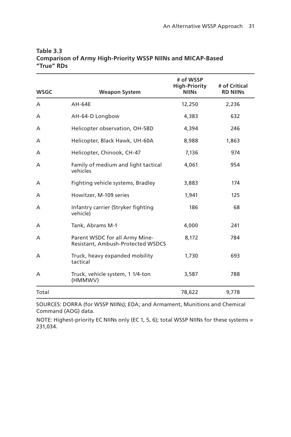| <b>WSGC</b> | <b>Weapon System</b>                                                | # of WSSP<br><b>High-Priority</b><br><b>NIINs</b> | # of Critical<br><b>RD NIINS</b> |
|-------------|---------------------------------------------------------------------|---------------------------------------------------|----------------------------------|
| A           | <b>AH-64E</b>                                                       | 12,250                                            | 2,236                            |
| A           | AH-64-D Longbow                                                     | 4,383                                             | 632                              |
| A           | Helicopter observation, OH-58D                                      | 4,394                                             | 246                              |
| A           | Helicopter, Black Hawk, UH-60A                                      | 8,988                                             | 1,863                            |
| A           | Helicopter, Chinook, CH-47                                          | 7,136                                             | 974                              |
| Α           | Family of medium and light tactical<br>vehicles                     | 4,061                                             | 954                              |
| A           | Fighting vehicle systems, Bradley                                   | 3,883                                             | 174                              |
| A           | Howitzer, M-109 series                                              | 1,941                                             | 125                              |
| A           | Infantry carrier (Stryker fighting<br>vehicle)                      | 186                                               | 68                               |
| A           | Tank, Abrams M-1                                                    | 4,000                                             | 241                              |
| A           | Parent WSDC for all Army Mine-<br>Resistant, Ambush-Protected WSDCS | 8,172                                             | 784                              |
| A           | Truck, heavy expanded mobility<br>tactical                          | 1,730                                             | 693                              |
| A           | Truck, vehicle system, 1 1/4-ton<br>(HMMWV)                         | 3,587                                             | 788                              |
| Total       |                                                                     | 78,622                                            | 9,778                            |

#### **Table 3.3 Comparison of Army High-Priority WSSP NIINs and MICAP-Based "True" RDs**

SOURCES: DORRA (for WSSP NIINs); EDA; and Armament, Munitions and Chemical Command (AOG) data.

NOTE: Highest-priority EC NIINs only (EC 1, 5, 6); total WSSP NIINs for these systems = 231,034.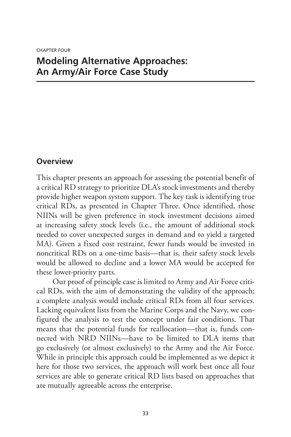## **Overview**

This chapter presents an approach for assessing the potential benefit of a critical RD strategy to prioritize DLA's stock investments and thereby provide higher weapon system support. The key task is identifying true critical RDs, as presented in Chapter Three. Once identified, those NIINs will be given preference in stock investment decisions aimed at increasing safety stock levels (i.e., the amount of additional stock needed to cover unexpected surges in demand and to yield a targeted MA). Given a fixed cost restraint, fewer funds would be invested in noncritical RDs on a one-time basis—that is, their safety stock levels would be allowed to decline and a lower MA would be accepted for these lower-priority parts.

Our proof of principle case is limited to Army and Air Force critical RDs, with the aim of demonstrating the validity of the approach; a complete analysis would include critical RDs from all four services. Lacking equivalent lists from the Marine Corps and the Navy, we configured the analysis to test the concept under fair conditions. That means that the potential funds for reallocation—that is, funds connected with NRD NIINs—have to be limited to DLA items that go exclusively (or almost exclusively) to the Army and the Air Force. While in principle this approach could be implemented as we depict it here for those two services, the approach will work best once all four services are able to generate critical RD lists based on approaches that are mutually agreeable across the enterprise.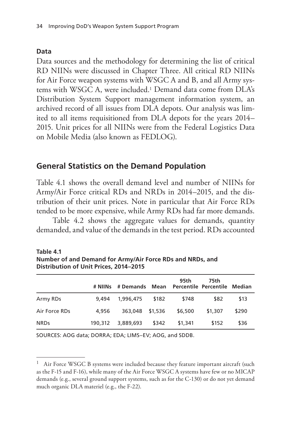### **Data**

**Table 4.1**

Data sources and the methodology for determining the list of critical RD NIINs were discussed in Chapter Three. All critical RD NIINs for Air Force weapon systems with WSGC A and B, and all Army systems with WSGC A, were included.<sup>1</sup> Demand data come from DLA's Distribution System Support management information system, an archived record of all issues from DLA depots. Our analysis was limited to all items requisitioned from DLA depots for the years 2014– 2015. Unit prices for all NIINs were from the Federal Logistics Data on Mobile Media (also known as FEDLOG).

## **General Statistics on the Demand Population**

Table 4.1 shows the overall demand level and number of NIINs for Army/Air Force critical RDs and NRDs in 2014–2015, and the distribution of their unit prices. Note in particular that Air Force RDs tended to be more expensive, while Army RDs had far more demands.

Table 4.2 shows the aggregate values for demands, quantity demanded, and value of the demands in the test period. RDs accounted

| TANIC 4.T                                                 |  |
|-----------------------------------------------------------|--|
| Number of and Demand for Army/Air Force RDs and NRDs, and |  |
| Distribution of Unit Prices, 2014-2015                    |  |
|                                                           |  |

|               |         | # NIINs # Demands Mean Percentile Percentile Median |       | 95th    | 75th    |       |
|---------------|---------|-----------------------------------------------------|-------|---------|---------|-------|
| Army RDs      | 9.494   | 1,996,475                                           | \$182 | \$748   | \$82    | \$13  |
| Air Force RDs | 4,956   | 363.048 \$1.536                                     |       | \$6,500 | \$1,307 | \$290 |
| <b>NRDs</b>   | 190,312 | 3,889,693                                           | \$342 | \$1,341 | \$152   | \$36  |

SOURCES: AOG data; DORRA; EDA; LIMS–EV; AOG, and SDDB.

<sup>&</sup>lt;sup>1</sup> Air Force WSGC B systems were included because they feature important aircraft (such as the F-15 and F-16), while many of the Air Force WSGC A systems have few or no MICAP demands (e.g., several ground support systems, such as for the C-130) or do not yet demand much organic DLA materiel (e.g., the F-22).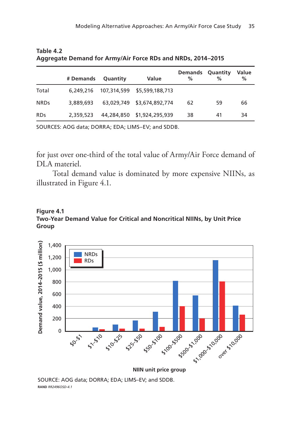|             | # Demands | Quantity | Value                                 | Demands Quantity<br>$\%$ | %  | Value<br>% |
|-------------|-----------|----------|---------------------------------------|--------------------------|----|------------|
| Total       |           |          | 6,249,216 107,314,599 \$5,599,188,713 |                          |    |            |
| <b>NRDs</b> | 3,889,693 |          | 63,029,749 \$3,674,892,774            | 62                       | 59 | 66         |
| <b>RDs</b>  | 2,359,523 |          | 44,284,850 \$1,924,295,939            | 38                       | 41 | 34         |

**Table 4.2 Aggregate Demand for Army/Air Force RDs and NRDs, 2014–2015**

SOURCES: AOG data; DORRA; EDA; LIMS–EV; and SDDB.

for just over one-third of the total value of Army/Air Force demand of DLA materiel.

Total demand value is dominated by more expensive NIINs, as illustrated in Figure 4.1.

#### **Figure 4.1 Two-Year Demand Value for Critical and Noncritical NIINs, by Unit Price Group**



**NIIN unit price group**

SOURCE: AOG data; DORRA; EDA; LIMS–EV; and SDDB. **RAND** *RR2496OSD-4.1*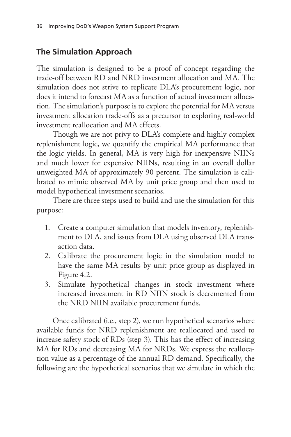# **The Simulation Approach**

The simulation is designed to be a proof of concept regarding the trade-off between RD and NRD investment allocation and MA. The simulation does not strive to replicate DLA's procurement logic, nor does it intend to forecast MA as a function of actual investment allocation. The simulation's purpose is to explore the potential for MA versus investment allocation trade-offs as a precursor to exploring real-world investment reallocation and MA effects.

Though we are not privy to DLA's complete and highly complex replenishment logic, we quantify the empirical MA performance that the logic yields. In general, MA is very high for inexpensive NIINs and much lower for expensive NIINs, resulting in an overall dollar unweighted MA of approximately 90 percent. The simulation is calibrated to mimic observed MA by unit price group and then used to model hypothetical investment scenarios.

There are three steps used to build and use the simulation for this purpose:

- 1. Create a computer simulation that models inventory, replenishment to DLA, and issues from DLA using observed DLA transaction data.
- 2. Calibrate the procurement logic in the simulation model to have the same MA results by unit price group as displayed in Figure 4.2.
- 3. Simulate hypothetical changes in stock investment where increased investment in RD NIIN stock is decremented from the NRD NIIN available procurement funds.

Once calibrated (i.e., step 2), we run hypothetical scenarios where available funds for NRD replenishment are reallocated and used to increase safety stock of RDs (step 3). This has the effect of increasing MA for RDs and decreasing MA for NRDs. We express the reallocation value as a percentage of the annual RD demand. Specifically, the following are the hypothetical scenarios that we simulate in which the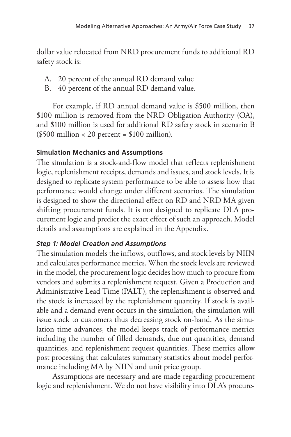dollar value relocated from NRD procurement funds to additional RD safety stock is:

- A. 20 percent of the annual RD demand value
- B. 40 percent of the annual RD demand value.

For example, if RD annual demand value is \$500 million, then \$100 million is removed from the NRD Obligation Authority (OA), and \$100 million is used for additional RD safety stock in scenario B  $$500$  million  $\times$  20 percent = \$100 million).

## **Simulation Mechanics and Assumptions**

The simulation is a stock-and-flow model that reflects replenishment logic, replenishment receipts, demands and issues, and stock levels. It is designed to replicate system performance to be able to assess how that performance would change under different scenarios. The simulation is designed to show the directional effect on RD and NRD MA given shifting procurement funds. It is not designed to replicate DLA procurement logic and predict the exact effect of such an approach. Model details and assumptions are explained in the Appendix.

## *Step 1: Model Creation and Assumptions*

The simulation models the inflows, outflows, and stock levels by NIIN and calculates performance metrics. When the stock levels are reviewed in the model, the procurement logic decides how much to procure from vendors and submits a replenishment request. Given a Production and Administrative Lead Time (PALT), the replenishment is observed and the stock is increased by the replenishment quantity. If stock is available and a demand event occurs in the simulation, the simulation will issue stock to customers thus decreasing stock on-hand. As the simulation time advances, the model keeps track of performance metrics including the number of filled demands, due out quantities, demand quantities, and replenishment request quantities. These metrics allow post processing that calculates summary statistics about model performance including MA by NIIN and unit price group.

Assumptions are necessary and are made regarding procurement logic and replenishment. We do not have visibility into DLA's procure-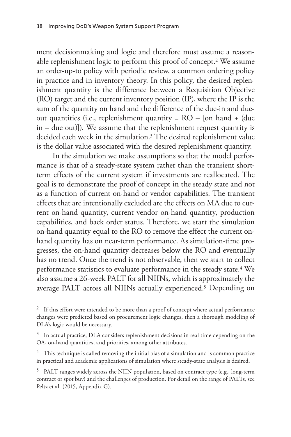ment decisionmaking and logic and therefore must assume a reasonable replenishment logic to perform this proof of concept.<sup>2</sup> We assume an order-up-to policy with periodic review, a common ordering policy in practice and in inventory theory. In this policy, the desired replenishment quantity is the difference between a Requisition Objective (RO) target and the current inventory position (IP), where the IP is the sum of the quantity on hand and the difference of the due-in and dueout quantities (i.e., replenishment quantity = RO – [on hand + (due in – due out)]). We assume that the replenishment request quantity is decided each week in the simulation.<sup>3</sup> The desired replenishment value is the dollar value associated with the desired replenishment quantity.

In the simulation we make assumptions so that the model performance is that of a steady-state system rather than the transient shortterm effects of the current system if investments are reallocated. The goal is to demonstrate the proof of concept in the steady state and not as a function of current on-hand or vendor capabilities. The transient effects that are intentionally excluded are the effects on MA due to current on-hand quantity, current vendor on-hand quantity, production capabilities, and back order status. Therefore, we start the simulation on-hand quantity equal to the RO to remove the effect the current onhand quantity has on near-term performance. As simulation-time progresses, the on-hand quantity decreases below the RO and eventually has no trend. Once the trend is not observable, then we start to collect performance statistics to evaluate performance in the steady state.<sup>4</sup> We also assume a 26-week PALT for all NIINs, which is approximately the average PALT across all NIINs actually experienced.<sup>5</sup> Depending on

 $2$  If this effort were intended to be more than a proof of concept where actual performance changes were predicted based on procurement logic changes, then a thorough modeling of DLA's logic would be necessary.

 $3\;\;$  In actual practice, DLA considers replenishment decisions in real time depending on the OA, on-hand quantities, and priorities, among other attributes.

 $4$  This technique is called removing the initial bias of a simulation and is common practice in practical and academic applications of simulation where steady-state analysis is desired.

<sup>&</sup>lt;sup>5</sup> PALT ranges widely across the NIIN population, based on contract type (e.g., long-term contract or spot buy) and the challenges of production. For detail on the range of PALTs, see Peltz et al. (2015, Appendix G).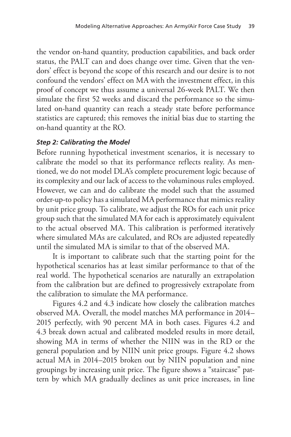the vendor on-hand quantity, production capabilities, and back order status, the PALT can and does change over time. Given that the vendors' effect is beyond the scope of this research and our desire is to not confound the vendors' effect on MA with the investment effect, in this proof of concept we thus assume a universal 26-week PALT. We then simulate the first 52 weeks and discard the performance so the simulated on-hand quantity can reach a steady state before performance statistics are captured; this removes the initial bias due to starting the on-hand quantity at the RO.

## *Step 2: Calibrating the Model*

Before running hypothetical investment scenarios, it is necessary to calibrate the model so that its performance reflects reality. As mentioned, we do not model DLA's complete procurement logic because of its complexity and our lack of access to the voluminous rules employed. However, we can and do calibrate the model such that the assumed order-up-to policy has a simulated MA performance that mimics reality by unit price group. To calibrate, we adjust the ROs for each unit price group such that the simulated MA for each is approximately equivalent to the actual observed MA. This calibration is performed iteratively where simulated MAs are calculated, and ROs are adjusted repeatedly until the simulated MA is similar to that of the observed MA.

It is important to calibrate such that the starting point for the hypothetical scenarios has at least similar performance to that of the real world. The hypothetical scenarios are naturally an extrapolation from the calibration but are defined to progressively extrapolate from the calibration to simulate the MA performance.

Figures 4.2 and 4.3 indicate how closely the calibration matches observed MA. Overall, the model matches MA performance in 2014– 2015 perfectly, with 90 percent MA in both cases. Figures 4.2 and 4.3 break down actual and calibrated modeled results in more detail, showing MA in terms of whether the NIIN was in the RD or the general population and by NIIN unit price groups. Figure 4.2 shows actual MA in 2014–2015 broken out by NIIN population and nine groupings by increasing unit price. The figure shows a "staircase" pattern by which MA gradually declines as unit price increases, in line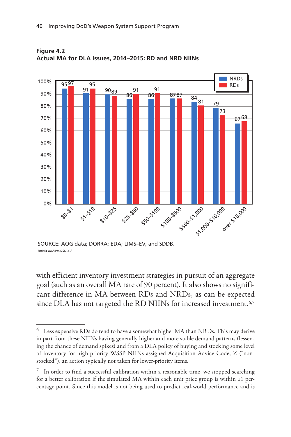



with efficient inventory investment strategies in pursuit of an aggregate goal (such as an overall MA rate of 90 percent). It also shows no significant difference in MA between RDs and NRDs, as can be expected since DLA has not targeted the RD NIINs for increased investment.<sup>6,7</sup>

SOURCE: AOG data; DORRA; EDA; LIMS–EV; and SDDB. **RAND** *RR2496OSD-4.2*

 $6$  Less expensive RDs do tend to have a somewhat higher MA than NRDs. This may derive in part from these NIINs having generally higher and more stable demand patterns (lessening the chance of demand spikes) and from a DLA policy of buying and stocking some level of inventory for high-priority WSSP NIINs assigned Acquisition Advice Code, Z ("nonstocked"), an action typically not taken for lower-priority items.

 $7$  In order to find a successful calibration within a reasonable time, we stopped searching for a better calibration if the simulated MA within each unit price group is within  $\pm 1$  percentage point. Since this model is not being used to predict real-world performance and is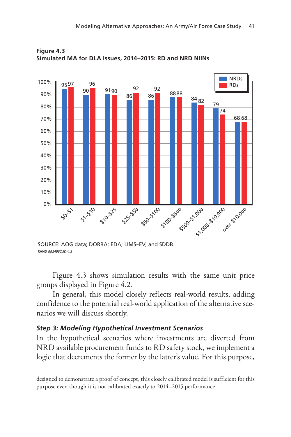

**Figure 4.3 Simulated MA for DLA Issues, 2014–2015: RD and NRD NIINs**

Figure 4.3 shows simulation results with the same unit price groups displayed in Figure 4.2.

In general, this model closely reflects real-world results, adding confidence to the potential real-world application of the alternative scenarios we will discuss shortly.

### *Step 3: Modeling Hypothetical Investment Scenarios*

In the hypothetical scenarios where investments are diverted from NRD available procurement funds to RD safety stock, we implement a logic that decrements the former by the latter's value. For this purpose,

SOURCE: AOG data; DORRA; EDA; LIMS–EV; and SDDB. **RAND** *RR2496OSD-4.3*

designed to demonstrate a proof of concept, this closely calibrated model is sufficient for this purpose even though it is not calibrated exactly to 2014–2015 performance.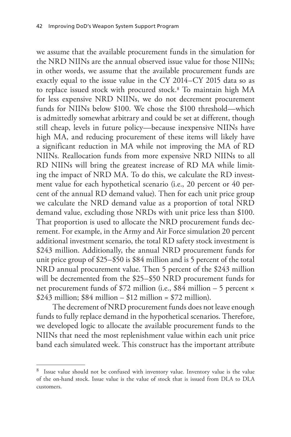we assume that the available procurement funds in the simulation for the NRD NIINs are the annual observed issue value for those NIINs; in other words, we assume that the available procurement funds are exactly equal to the issue value in the CY 2014–CY 2015 data so as to replace issued stock with procured stock.8 To maintain high MA for less expensive NRD NIINs, we do not decrement procurement funds for NIINs below \$100. We chose the \$100 threshold—which is admittedly somewhat arbitrary and could be set at different, though still cheap, levels in future policy—because inexpensive NIINs have high MA, and reducing procurement of these items will likely have a significant reduction in MA while not improving the MA of RD NIINs. Reallocation funds from more expensive NRD NIINs to all RD NIINs will bring the greatest increase of RD MA while limiting the impact of NRD MA. To do this, we calculate the RD investment value for each hypothetical scenario (i.e., 20 percent or 40 percent of the annual RD demand value). Then for each unit price group we calculate the NRD demand value as a proportion of total NRD demand value, excluding those NRDs with unit price less than \$100. That proportion is used to allocate the NRD procurement funds decrement. For example, in the Army and Air Force simulation 20 percent additional investment scenario, the total RD safety stock investment is \$243 million. Additionally, the annual NRD procurement funds for unit price group of \$25–\$50 is \$84 million and is 5 percent of the total NRD annual procurement value. Then 5 percent of the \$243 million will be decremented from the \$25–\$50 NRD procurement funds for net procurement funds of \$72 million (i.e., \$84 million – 5 percent ×  $$243$  million; \$84 million – \$12 million = \$72 million).

The decrement of NRD procurement funds does not leave enough funds to fully replace demand in the hypothetical scenarios. Therefore, we developed logic to allocate the available procurement funds to the NIINs that need the most replenishment value within each unit price band each simulated week. This construct has the important attribute

<sup>8</sup> Issue value should not be confused with inventory value. Inventory value is the value of the on-hand stock. Issue value is the value of stock that is issued from DLA to DLA customers.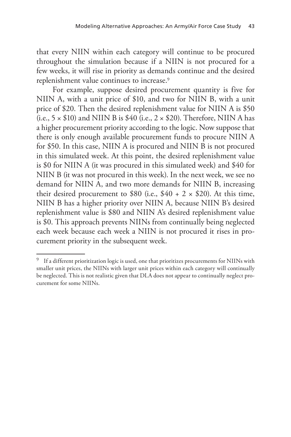that every NIIN within each category will continue to be procured throughout the simulation because if a NIIN is not procured for a few weeks, it will rise in priority as demands continue and the desired replenishment value continues to increase.<sup>9</sup>

For example, suppose desired procurement quantity is five for NIIN A, with a unit price of \$10, and two for NIIN B, with a unit price of \$20. Then the desired replenishment value for NIIN A is \$50 (i.e.,  $5 \times $10$ ) and NIIN B is \$40 (i.e.,  $2 \times $20$ ). Therefore, NIIN A has a higher procurement priority according to the logic. Now suppose that there is only enough available procurement funds to procure NIIN A for \$50. In this case, NIIN A is procured and NIIN B is not procured in this simulated week. At this point, the desired replenishment value is \$0 for NIIN A (it was procured in this simulated week) and \$40 for NIIN B (it was not procured in this week). In the next week, we see no demand for NIIN A, and two more demands for NIIN B, increasing their desired procurement to \$80 (i.e.,  $$40 + 2 \times $20$ ). At this time, NIIN B has a higher priority over NIIN A, because NIIN B's desired replenishment value is \$80 and NIIN A's desired replenishment value is \$0. This approach prevents NIINs from continually being neglected each week because each week a NIIN is not procured it rises in procurement priority in the subsequent week.

 $9\;$  If a different prioritization logic is used, one that prioritizes procurements for NIINs with smaller unit prices, the NIINs with larger unit prices within each category will continually be neglected. This is not realistic given that DLA does not appear to continually neglect procurement for some NIINs.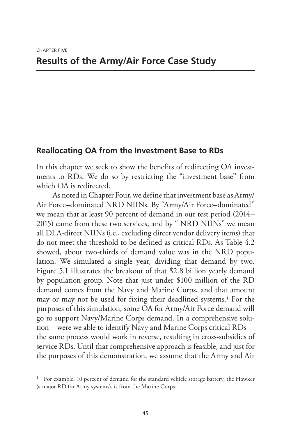### **Reallocating OA from the Investment Base to RDs**

In this chapter we seek to show the benefits of redirecting OA investments to RDs. We do so by restricting the "investment base" from which OA is redirected.

As noted in Chapter Four, we define that investment base as Army/ Air Force–dominated NRD NIINs. By "Army/Air Force–dominated" we mean that at least 90 percent of demand in our test period (2014– 2015) came from these two services, and by " NRD NIINs" we mean all DLA-direct NIINs (i.e., excluding direct vendor delivery items) that do not meet the threshold to be defined as critical RDs. As Table 4.2 showed, about two-thirds of demand value was in the NRD population. We simulated a single year, dividing that demand by two. Figure 5.1 illustrates the breakout of that \$2.8 billion yearly demand by population group. Note that just under \$100 million of the RD demand comes from the Navy and Marine Corps, and that amount may or may not be used for fixing their deadlined systems.1 For the purposes of this simulation, some OA for Army/Air Force demand will go to support Navy/Marine Corps demand. In a comprehensive solution—were we able to identify Navy and Marine Corps critical RDs the same process would work in reverse, resulting in cross-subsidies of service RDs. Until that comprehensive approach is feasible, and just for the purposes of this demonstration, we assume that the Army and Air

 $1$  For example, 10 percent of demand for the standard vehicle storage battery, the Hawker (a major RD for Army systems), is from the Marine Corps.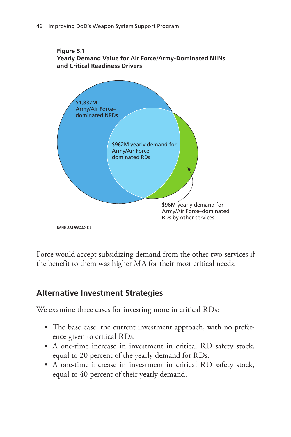

Force would accept subsidizing demand from the other two services if the benefit to them was higher MA for their most critical needs.

# **Alternative Investment Strategies**

We examine three cases for investing more in critical RDs:

- The base case: the current investment approach, with no preference given to critical RDs.
- A one-time increase in investment in critical RD safety stock, equal to 20 percent of the yearly demand for RDs.
- A one-time increase in investment in critical RD safety stock, equal to 40 percent of their yearly demand.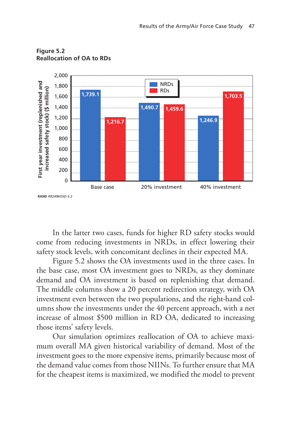

**Figure 5.2 Reallocation of OA to RDs**

In the latter two cases, funds for higher RD safety stocks would come from reducing investments in NRDs, in effect lowering their safety stock levels, with concomitant declines in their expected MA.

Figure 5.2 shows the OA investments used in the three cases. In the base case, most OA investment goes to NRDs, as they dominate demand and OA investment is based on replenishing that demand. The middle columns show a 20 percent redirection strategy, with OA investment even between the two populations, and the right-hand columns show the investments under the 40 percent approach, with a net increase of almost \$500 million in RD OA, dedicated to increasing those items' safety levels.

Our simulation optimizes reallocation of OA to achieve maximum overall MA given historical variability of demand. Most of the investment goes to the more expensive items, primarily because most of the demand value comes from those NIINs. To further ensure that MA for the cheapest items is maximized, we modified the model to prevent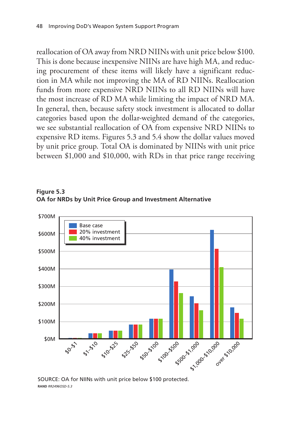reallocation of OA away from NRD NIINs with unit price below \$100. This is done because inexpensive NIINs are have high MA, and reducing procurement of these items will likely have a significant reduction in MA while not improving the MA of RD NIINs. Reallocation funds from more expensive NRD NIINs to all RD NIINs will have the most increase of RD MA while limiting the impact of NRD MA. In general, then, because safety stock investment is allocated to dollar categories based upon the dollar-weighted demand of the categories, we see substantial reallocation of OA from expensive NRD NIINs to expensive RD items. Figures 5.3 and 5.4 show the dollar values moved by unit price group. Total OA is dominated by NIINs with unit price between \$1,000 and \$10,000, with RDs in that price range receiving





SOURCE: OA for NIINs with unit price below \$100 protected. **RAND** *RR2496OSD-5.3*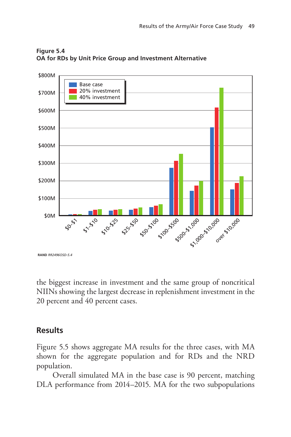

**Figure 5.4 OA for RDs by Unit Price Group and Investment Alternative**

the biggest increase in investment and the same group of noncritical NIINs showing the largest decrease in replenishment investment in the 20 percent and 40 percent cases.

## **Results**

Figure 5.5 shows aggregate MA results for the three cases, with MA shown for the aggregate population and for RDs and the NRD population.

Overall simulated MA in the base case is 90 percent, matching DLA performance from 2014–2015. MA for the two subpopulations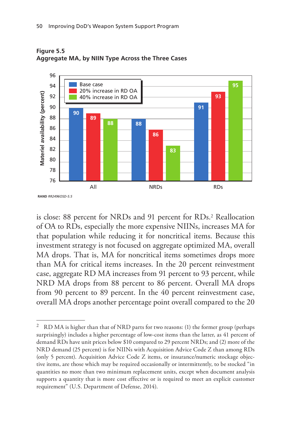



is close: 88 percent for NRDs and 91 percent for RDs.2 Reallocation of OA to RDs, especially the more expensive NIINs, increases MA for that population while reducing it for noncritical items. Because this investment strategy is not focused on aggregate optimized MA, overall MA drops. That is, MA for noncritical items sometimes drops more than MA for critical items increases. In the 20 percent reinvestment case, aggregate RD MA increases from 91 percent to 93 percent, while NRD MA drops from 88 percent to 86 percent. Overall MA drops from 90 percent to 89 percent. In the 40 percent reinvestment case, overall MA drops another percentage point overall compared to the 20

RD MA is higher than that of NRD parts for two reasons: (1) the former group (perhaps surprisingly) includes a higher percentage of low-cost items than the latter, as 41 percent of demand RDs have unit prices below \$10 compared to 29 percent NRDs; and (2) more of the NRD demand (25 percent) is for NIINs with Acquisition Advice Code Z than among RDs (only 5 percent). Acquisition Advice Code Z items, or insurance/numeric stockage objective items, are those which may be required occasionally or intermittently, to be stocked "in quantities no more than two minimum replacement units, except when document analysis supports a quantity that is more cost effective or is required to meet an explicit customer requirement" (U.S. Department of Defense, 2014).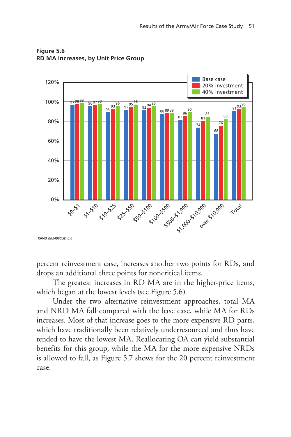

**Figure 5.6 RD MA Increases, by Unit Price Group**

percent reinvestment case, increases another two points for RDs, and drops an additional three points for noncritical items.

The greatest increases in RD MA are in the higher-price items, which began at the lowest levels (see Figure 5.6).

Under the two alternative reinvestment approaches, total MA and NRD MA fall compared with the base case, while MA for RDs increases. Most of that increase goes to the more expensive RD parts, which have traditionally been relatively underresourced and thus have tended to have the lowest MA. Reallocating OA can yield substantial benefits for this group, while the MA for the more expensive NRDs is allowed to fall, as Figure 5.7 shows for the 20 percent reinvestment case.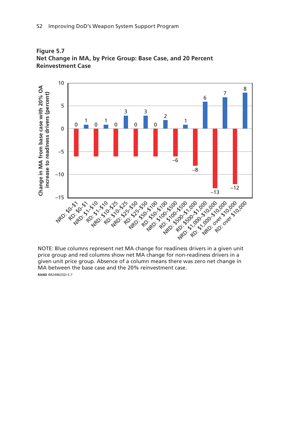



NOTE: Blue columns represent net MA change for readiness drivers in a given unit price group and red columns show net MA change for non-readiness drivers in a given unit price group. Absence of a column means there was zero net change in MA between the base case and the 20% reinvestment case. **RAND** *RR2496OSD-5.7*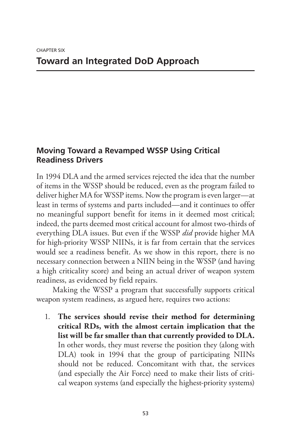### **Moving Toward a Revamped WSSP Using Critical Readiness Drivers**

In 1994 DLA and the armed services rejected the idea that the number of items in the WSSP should be reduced, even as the program failed to deliver higher MA for WSSP items. Now the program is even larger—at least in terms of systems and parts included—and it continues to offer no meaningful support benefit for items in it deemed most critical; indeed, the parts deemed most critical account for almost two-thirds of everything DLA issues. But even if the WSSP *did* provide higher MA for high-priority WSSP NIINs, it is far from certain that the services would see a readiness benefit. As we show in this report, there is no necessary connection between a NIIN being in the WSSP (and having a high criticality score) and being an actual driver of weapon system readiness, as evidenced by field repairs.

Making the WSSP a program that successfully supports critical weapon system readiness, as argued here, requires two actions:

1. **The services should revise their method for determining critical RDs, with the almost certain implication that the list will be far smaller than that currently provided to DLA.** In other words, they must reverse the position they (along with DLA) took in 1994 that the group of participating NIINs should not be reduced. Concomitant with that, the services (and especially the Air Force) need to make their lists of critical weapon systems (and especially the highest-priority systems)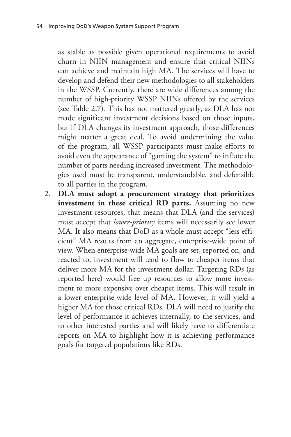as stable as possible given operational requirements to avoid churn in NIIN management and ensure that critical NIINs can achieve and maintain high MA. The services will have to develop and defend their new methodologies to all stakeholders in the WSSP. Currently, there are wide differences among the number of high-priority WSSP NIINs offered by the services (see Table 2.7). This has not mattered greatly, as DLA has not made significant investment decisions based on those inputs, but if DLA changes its investment approach, those differences might matter a great deal. To avoid undermining the value of the program, all WSSP participants must make efforts to avoid even the appearance of "gaming the system" to inflate the number of parts needing increased investment. The methodologies used must be transparent, understandable, and defensible to all parties in the program.

2. **DLA must adopt a procurement strategy that prioritizes investment in these critical RD parts.** Assuming no new investment resources, that means that DLA (and the services) must accept that *lower-priority* items will necessarily see lower MA. It also means that DoD as a whole must accept "less efficient" MA results from an aggregate, enterprise-wide point of view. When enterprise-wide MA goals are set, reported on, and reacted to, investment will tend to flow to cheaper items that deliver more MA for the investment dollar. Targeting RDs (as reported here) would free up resources to allow more investment to more expensive over cheaper items. This will result in a lower enterprise-wide level of MA. However, it will yield a higher MA for those critical RDs. DLA will need to justify the level of performance it achieves internally, to the services, and to other interested parties and will likely have to differentiate reports on MA to highlight how it is achieving performance goals for targeted populations like RDs.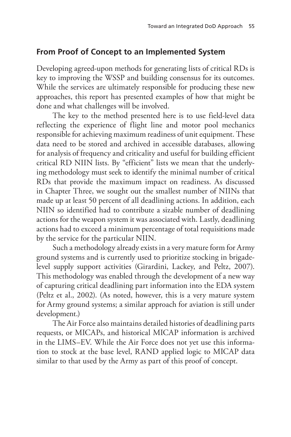## **From Proof of Concept to an Implemented System**

Developing agreed-upon methods for generating lists of critical RDs is key to improving the WSSP and building consensus for its outcomes. While the services are ultimately responsible for producing these new approaches, this report has presented examples of how that might be done and what challenges will be involved.

The key to the method presented here is to use field-level data reflecting the experience of flight line and motor pool mechanics responsible for achieving maximum readiness of unit equipment. These data need to be stored and archived in accessible databases, allowing for analysis of frequency and criticality and useful for building efficient critical RD NIIN lists. By "efficient" lists we mean that the underlying methodology must seek to identify the minimal number of critical RDs that provide the maximum impact on readiness. As discussed in Chapter Three, we sought out the smallest number of NIINs that made up at least 50 percent of all deadlining actions. In addition, each NIIN so identified had to contribute a sizable number of deadlining actions for the weapon system it was associated with. Lastly, deadlining actions had to exceed a minimum percentage of total requisitions made by the service for the particular NIIN.

Such a methodology already exists in a very mature form for Army ground systems and is currently used to prioritize stocking in brigadelevel supply support activities (Girardini, Lackey, and Peltz, 2007). This methodology was enabled through the development of a new way of capturing critical deadlining part information into the EDA system (Peltz et al., 2002). (As noted, however, this is a very mature system for Army ground systems; a similar approach for aviation is still under development.)

The Air Force also maintains detailed histories of deadlining parts requests, or MICAPs, and historical MICAP information is archived in the LIMS–EV. While the Air Force does not yet use this information to stock at the base level, RAND applied logic to MICAP data similar to that used by the Army as part of this proof of concept.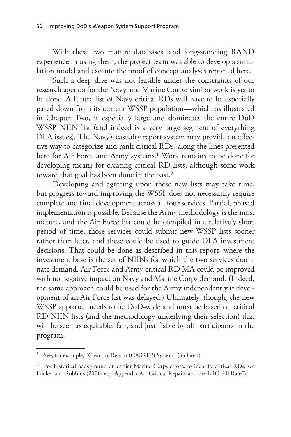With these two mature databases, and long-standing RAND experience in using them, the project team was able to develop a simulation model and execute the proof of concept analyses reported here.

Such a deep dive was not feasible under the constraints of our research agenda for the Navy and Marine Corps; similar work is yet to be done. A future list of Navy critical RDs will have to be especially pared down from its current WSSP population—which, as illustrated in Chapter Two, is especially large and dominates the entire DoD WSSP NIIN list (and indeed is a very large segment of everything DLA issues). The Navy's casualty report system may provide an effective way to categorize and rank critical RDs, along the lines presented here for Air Force and Army systems.<sup>1</sup> Work remains to be done for developing means for creating critical RD lists, although some work toward that goal has been done in the past.<sup>2</sup>

Developing and agreeing upon these new lists may take time, but progress toward improving the WSSP does not necessarily require complete and final development across all four services. Partial, phased implementation is possible. Because the Army methodology is the most mature, and the Air Force list could be compiled in a relatively short period of time, those services could submit new WSSP lists sooner rather than later, and these could be used to guide DLA investment decisions. That could be done as described in this report, where the investment base is the set of NIINs for which the two services dominate demand. Air Force and Army critical RD MA could be improved with no negative impact on Navy and Marine Corps demand. (Indeed, the same approach could be used for the Army independently if development of an Air Force list was delayed.) Ultimately, though, the new WSSP approach needs to be DoD-wide and must be based on critical RD NIIN lists (and the methodology underlying their selection) that will be seen as equitable, fair, and justifiable by all participants in the program.

<sup>&</sup>lt;sup>1</sup> See, for example, "Casualty Report (CASREP) System" (undated).

 $2$  For historical background on earlier Marine Corps efforts to identify critical RDs, see Fricker and Robbins (2000, esp. Appendix A, "Critical Repairs and the ERO Fill Rate").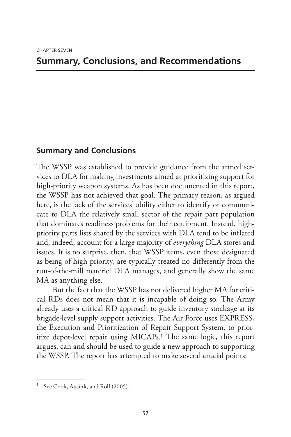#### **Summary and Conclusions**

The WSSP was established to provide guidance from the armed services to DLA for making investments aimed at prioritizing support for high-priority weapon systems. As has been documented in this report, the WSSP has not achieved that goal. The primary reason, as argued here, is the lack of the services' ability either to identify or communicate to DLA the relatively small sector of the repair part population that dominates readiness problems for their equipment. Instead, highpriority parts lists shared by the services with DLA tend to be inflated and, indeed, account for a large majority of *everything* DLA stores and issues. It is no surprise, then, that WSSP items, even those designated as being of high priority, are typically treated no differently from the run-of-the-mill materiel DLA manages, and generally show the same MA as anything else.

But the fact that the WSSP has not delivered higher MA for critical RDs does not mean that it is incapable of doing so. The Army already uses a critical RD approach to guide inventory stockage at its brigade-level supply support activities. The Air Force uses EXPRESS, the Execution and Prioritization of Repair Support System, to prioritize depot-level repair using MICAPs.1 The same logic, this report argues, can and should be used to guide a new approach to supporting the WSSP. The report has attempted to make several crucial points:

<sup>&</sup>lt;sup>1</sup> See Cook, Ausink, and Roll (2005).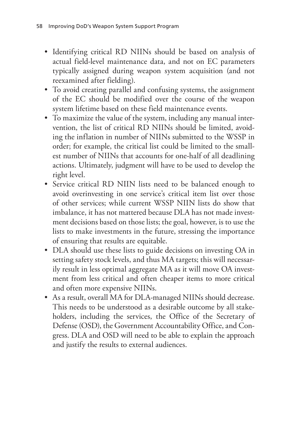- Identifying critical RD NIINs should be based on analysis of actual field-level maintenance data, and not on EC parameters typically assigned during weapon system acquisition (and not reexamined after fielding).
- To avoid creating parallel and confusing systems, the assignment of the EC should be modified over the course of the weapon system lifetime based on these field maintenance events.
- To maximize the value of the system, including any manual intervention, the list of critical RD NIINs should be limited, avoiding the inflation in number of NIINs submitted to the WSSP in order; for example, the critical list could be limited to the smallest number of NIINs that accounts for one-half of all deadlining actions. Ultimately, judgment will have to be used to develop the right level.
- Service critical RD NIIN lists need to be balanced enough to avoid overinvesting in one service's critical item list over those of other services; while current WSSP NIIN lists do show that imbalance, it has not mattered because DLA has not made investment decisions based on those lists; the goal, however, is to use the lists to make investments in the future, stressing the importance of ensuring that results are equitable.
- DLA should use these lists to guide decisions on investing OA in setting safety stock levels, and thus MA targets; this will necessarily result in less optimal aggregate MA as it will move OA investment from less critical and often cheaper items to more critical and often more expensive NIINs.
- As a result, overall MA for DLA-managed NIINs should decrease. This needs to be understood as a desirable outcome by all stakeholders, including the services, the Office of the Secretary of Defense (OSD), the Government Accountability Office, and Congress. DLA and OSD will need to be able to explain the approach and justify the results to external audiences.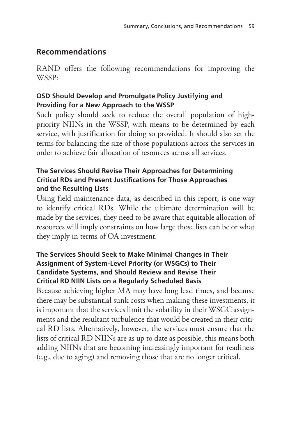## **Recommendations**

RAND offers the following recommendations for improving the WSSP:

#### **OSD Should Develop and Promulgate Policy Justifying and Providing for a New Approach to the WSSP**

Such policy should seek to reduce the overall population of highpriority NIINs in the WSSP, with means to be determined by each service, with justification for doing so provided. It should also set the terms for balancing the size of those populations across the services in order to achieve fair allocation of resources across all services.

#### **The Services Should Revise Their Approaches for Determining Critical RDs and Present Justifications for Those Approaches and the Resulting Lists**

Using field maintenance data, as described in this report, is one way to identify critical RDs. While the ultimate determination will be made by the services, they need to be aware that equitable allocation of resources will imply constraints on how large those lists can be or what they imply in terms of OA investment.

#### **The Services Should Seek to Make Minimal Changes in Their Assignment of System-Level Priority (or WSGCs) to Their Candidate Systems, and Should Review and Revise Their Critical RD NIIN Lists on a Regularly Scheduled Basis**

Because achieving higher MA may have long lead times, and because there may be substantial sunk costs when making these investments, it is important that the services limit the volatility in their WSGC assignments and the resultant turbulence that would be created in their critical RD lists. Alternatively, however, the services must ensure that the lists of critical RD NIINs are as up to date as possible, this means both adding NIINs that are becoming increasingly important for readiness (e.g., due to aging) and removing those that are no longer critical.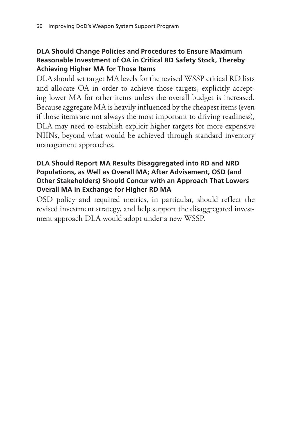#### **DLA Should Change Policies and Procedures to Ensure Maximum Reasonable Investment of OA in Critical RD Safety Stock, Thereby Achieving Higher MA for Those Items**

DLA should set target MA levels for the revised WSSP critical RD lists and allocate OA in order to achieve those targets, explicitly accepting lower MA for other items unless the overall budget is increased. Because aggregate MA is heavily influenced by the cheapest items (even if those items are not always the most important to driving readiness), DLA may need to establish explicit higher targets for more expensive NIINs, beyond what would be achieved through standard inventory management approaches.

#### **DLA Should Report MA Results Disaggregated into RD and NRD Populations, as Well as Overall MA; After Advisement, OSD (and Other Stakeholders) Should Concur with an Approach That Lowers Overall MA in Exchange for Higher RD MA**

OSD policy and required metrics, in particular, should reflect the revised investment strategy, and help support the disaggregated investment approach DLA would adopt under a new WSSP.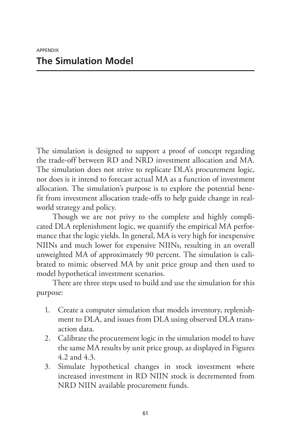The simulation is designed to support a proof of concept regarding the trade-off between RD and NRD investment allocation and MA. The simulation does not strive to replicate DLA's procurement logic, nor does is it intend to forecast actual MA as a function of investment allocation. The simulation's purpose is to explore the potential benefit from investment allocation trade-offs to help guide change in realworld strategy and policy.

Though we are not privy to the complete and highly complicated DLA replenishment logic, we quantify the empirical MA performance that the logic yields. In general, MA is very high for inexpensive NIINs and much lower for expensive NIINs, resulting in an overall unweighted MA of approximately 90 percent. The simulation is calibrated to mimic observed MA by unit price group and then used to model hypothetical investment scenarios.

There are three steps used to build and use the simulation for this purpose:

- 1. Create a computer simulation that models inventory, replenishment to DLA, and issues from DLA using observed DLA transaction data.
- 2. Calibrate the procurement logic in the simulation model to have the same MA results by unit price group, as displayed in Figures 4.2 and 4.3.
- 3. Simulate hypothetical changes in stock investment where increased investment in RD NIIN stock is decremented from NRD NIIN available procurement funds.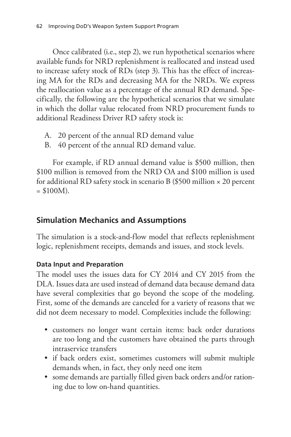Once calibrated (i.e., step 2), we run hypothetical scenarios where available funds for NRD replenishment is reallocated and instead used to increase safety stock of RDs (step 3). This has the effect of increasing MA for the RDs and decreasing MA for the NRDs. We express the reallocation value as a percentage of the annual RD demand. Specifically, the following are the hypothetical scenarios that we simulate in which the dollar value relocated from NRD procurement funds to additional Readiness Driver RD safety stock is:

- A. 20 percent of the annual RD demand value
- B. 40 percent of the annual RD demand value.

For example, if RD annual demand value is \$500 million, then \$100 million is removed from the NRD OA and \$100 million is used for additional RD safety stock in scenario B (\$500 million × 20 percent  $= $100M$ ).

## **Simulation Mechanics and Assumptions**

The simulation is a stock-and-flow model that reflects replenishment logic, replenishment receipts, demands and issues, and stock levels.

#### **Data Input and Preparation**

The model uses the issues data for CY 2014 and CY 2015 from the DLA. Issues data are used instead of demand data because demand data have several complexities that go beyond the scope of the modeling. First, some of the demands are canceled for a variety of reasons that we did not deem necessary to model. Complexities include the following:

- customers no longer want certain items: back order durations are too long and the customers have obtained the parts through intraservice transfers
- if back orders exist, sometimes customers will submit multiple demands when, in fact, they only need one item
- some demands are partially filled given back orders and/or rationing due to low on-hand quantities.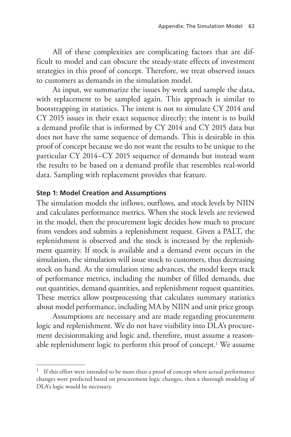All of these complexities are complicating factors that are difficult to model and can obscure the steady-state effects of investment strategies in this proof of concept. Therefore, we treat observed issues to customers as demands in the simulation model.

As input, we summarize the issues by week and sample the data, with replacement to be sampled again. This approach is similar to bootstrapping in statistics. The intent is not to simulate CY 2014 and CY 2015 issues in their exact sequence directly; the intent is to build a demand profile that is informed by CY 2014 and CY 2015 data but does not have the same sequence of demands. This is desirable in this proof of concept because we do not want the results to be unique to the particular CY 2014–CY 2015 sequence of demands but instead want the results to be based on a demand profile that resembles real-world data. Sampling with replacement provides that feature.

#### **Step 1: Model Creation and Assumptions**

The simulation models the inflows, outflows, and stock levels by NIIN and calculates performance metrics. When the stock levels are reviewed in the model, then the procurement logic decides how much to procure from vendors and submits a replenishment request. Given a PALT, the replenishment is observed and the stock is increased by the replenishment quantity. If stock is available and a demand event occurs in the simulation, the simulation will issue stock to customers, thus decreasing stock on hand. As the simulation time advances, the model keeps track of performance metrics, including the number of filled demands, due out quantities, demand quantities, and replenishment request quantities. These metrics allow postprocessing that calculates summary statistics about model performance, including MA by NIIN and unit price group.

Assumptions are necessary and are made regarding procurement logic and replenishment. We do not have visibility into DLA's procurement decisionmaking and logic and, therefore, must assume a reasonable replenishment logic to perform this proof of concept.<sup>1</sup> We assume

 $1$  If this effort were intended to be more than a proof of concept where actual performance changes were predicted based on procurement logic changes, then a thorough modeling of DLA's logic would be necessary.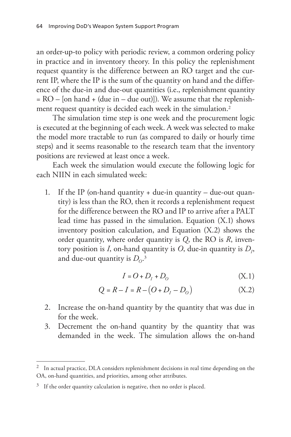an order-up-to policy with periodic review, a common ordering policy in practice and in inventory theory. In this policy the replenishment request quantity is the difference between an RO target and the current IP, where the IP is the sum of the quantity on hand and the difference of the due-in and due-out quantities (i.e., replenishment quantity  $=$  RO – [on hand + (due in – due out)]). We assume that the replenishment request quantity is decided each week in the simulation.<sup>2</sup>

The simulation time step is one week and the procurement logic is executed at the beginning of each week. A week was selected to make the model more tractable to run (as compared to daily or hourly time steps) and it seems reasonable to the research team that the inventory positions are reviewed at least once a week.

Each week the simulation would execute the following logic for each NIIN in each simulated week:

1. If the IP (on-hand quantity + due-in quantity – due-out quantity) is less than the RO, then it records a replenishment request for the difference between the RO and IP to arrive after a PALT lead time has passed in the simulation. Equation (X.1) shows inventory position calculation, and Equation (X.2) shows the order quantity, where order quantity is *Q*, the RO is *R*, inventory position is *I*, on-hand quantity is *O*, due-in quantity is  $D_p$ , and due-out quantity is  $D_{\scriptstyle O}$ .<sup>3</sup>

$$
I = O + D_I + D_O \tag{X.1}
$$

$$
Q = R - I = R - (O + D_1 - D_0)
$$
 (X.2)

- 2. Increase the on-hand quantity by the quantity that was due in for the week.
- 3. Decrement the on-hand quantity by the quantity that was demanded in the week. The simulation allows the on-hand

 $2$  In actual practice, DLA considers replenishment decisions in real time depending on the OA, on-hand quantities, and priorities, among other attributes.

 $3$  If the order quantity calculation is negative, then no order is placed.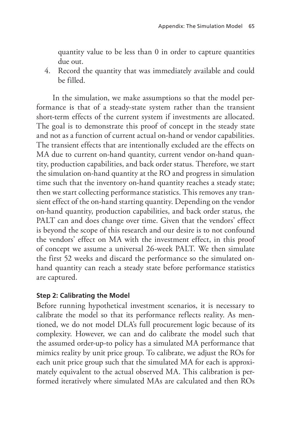quantity value to be less than 0 in order to capture quantities due out.

4. Record the quantity that was immediately available and could be filled.

In the simulation, we make assumptions so that the model performance is that of a steady-state system rather than the transient short-term effects of the current system if investments are allocated. The goal is to demonstrate this proof of concept in the steady state and not as a function of current actual on-hand or vendor capabilities. The transient effects that are intentionally excluded are the effects on MA due to current on-hand quantity, current vendor on-hand quantity, production capabilities, and back order status. Therefore, we start the simulation on-hand quantity at the RO and progress in simulation time such that the inventory on-hand quantity reaches a steady state; then we start collecting performance statistics. This removes any transient effect of the on-hand starting quantity. Depending on the vendor on-hand quantity, production capabilities, and back order status, the PALT can and does change over time. Given that the vendors' effect is beyond the scope of this research and our desire is to not confound the vendors' effect on MA with the investment effect, in this proof of concept we assume a universal 26-week PALT. We then simulate the first 52 weeks and discard the performance so the simulated onhand quantity can reach a steady state before performance statistics are captured.

#### **Step 2: Calibrating the Model**

Before running hypothetical investment scenarios, it is necessary to calibrate the model so that its performance reflects reality. As mentioned, we do not model DLA's full procurement logic because of its complexity. However, we can and do calibrate the model such that the assumed order-up-to policy has a simulated MA performance that mimics reality by unit price group. To calibrate, we adjust the ROs for each unit price group such that the simulated MA for each is approximately equivalent to the actual observed MA. This calibration is performed iteratively where simulated MAs are calculated and then ROs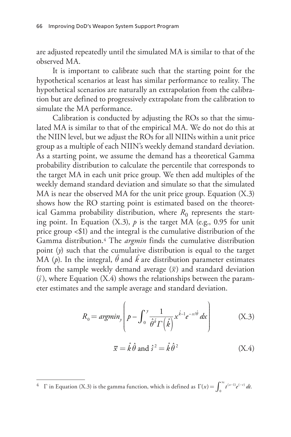are adjusted repeatedly until the simulated MA is similar to that of the observed MA.

It is important to calibrate such that the starting point for the hypothetical scenarios at least has similar performance to reality. The hypothetical scenarios are naturally an extrapolation from the calibration but are defined to progressively extrapolate from the calibration to simulate the MA performance.

Calibration is conducted by adjusting the ROs so that the simulated MA is similar to that of the empirical MA. We do not do this at the NIIN level, but we adjust the ROs for all NIINs within a unit price group as a multiple of each NIIN's weekly demand standard deviation. As a starting point, we assume the demand has a theoretical Gamma probability distribution to calculate the percentile that corresponds to the target MA in each unit price group. We then add multiples of the weekly demand standard deviation and simulate so that the simulated MA is near the observed MA for the unit price group. Equation (X.3) shows how the RO starting point is estimated based on the theoretical Gamma probability distribution, where  $R_0$  represents the starting point. In Equation (X.3),  $p$  is the target MA (e.g., 0.95 for unit price group <\$1) and the integral is the cumulative distribution of the Gamma distribution.4 The *argmin* finds the cumulative distribution point (*y*) such that the cumulative distribution is equal to the target MA (*p*). In the integral,  $\hat{\theta}$  and  $\hat{k}$  are distribution parameter estimates from the sample weekly demand average  $(\bar{x})$  and standard deviation ( *ˆs* ), where Equation (X.4) shows the relationships between the parameter estimates and the sample average and standard deviation.

$$
R_0 = \operatorname{argmin}_y \left( p - \int_0^y \frac{1}{\hat{\theta}^k \Gamma(\hat{k})} x^{\hat{k}-1} e^{-x/\hat{\theta}} dx \right) \tag{X.3}
$$

$$
\overline{x} = \hat{k}\hat{\theta} \text{ and } \hat{s}^2 = \hat{k}\hat{\theta}^2 \qquad (X.4)
$$

<sup>&</sup>lt;sup>4</sup> Γ in Equation (X.3) is the gamma function, which is defined as  $\Gamma(x) = \int_0^\infty t^{(x-1)} e^{(-t)} dt$ .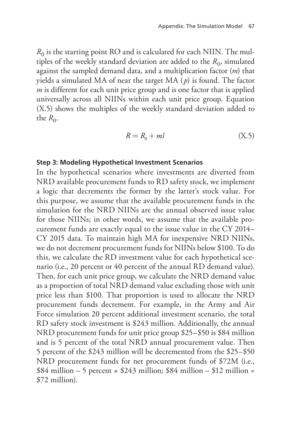$R_0$  is the starting point RO and is calculated for each NIIN. The multiples of the weekly standard deviation are added to the  $R_0$ , simulated against the sampled demand data, and a multiplication factor (*m*) that yields a simulated MA of near the target MA ( *p*) is found. The factor *m* is different for each unit price group and is one factor that is applied universally across all NIINs within each unit price group. Equation (X.5) shows the multiples of the weekly standard deviation added to the  $R_0$ .

$$
R = R_0 + m\hat{s} \tag{X.5}
$$

#### **Step 3: Modeling Hypothetical Investment Scenarios**

In the hypothetical scenarios where investments are diverted from NRD available procurement funds to RD safety stock, we implement a logic that decrements the former by the latter's stock value. For this purpose, we assume that the available procurement funds in the simulation for the NRD NIINs are the annual observed issue value for those NIINs; in other words, we assume that the available procurement funds are exactly equal to the issue value in the CY 2014– CY 2015 data. To maintain high MA for inexpensive NRD NIINs, we do not decrement procurement funds for NIINs below \$100. To do this, we calculate the RD investment value for each hypothetical scenario (i.e., 20 percent or 40 percent of the annual RD demand value). Then, for each unit price group, we calculate the NRD demand value as a proportion of total NRD demand value excluding those with unit price less than \$100. That proportion is used to allocate the NRD procurement funds decrement. For example, in the Army and Air Force simulation 20 percent additional investment scenario, the total RD safety stock investment is \$243 million. Additionally, the annual NRD procurement funds for unit price group \$25–\$50 is \$84 million and is 5 percent of the total NRD annual procurement value. Then 5 percent of the \$243 million will be decremented from the \$25–\$50 NRD procurement funds for net procurement funds of \$72M (i.e., \$84 million – 5 percent  $\times$  \$243 million; \$84 million – \$12 million = \$72 million).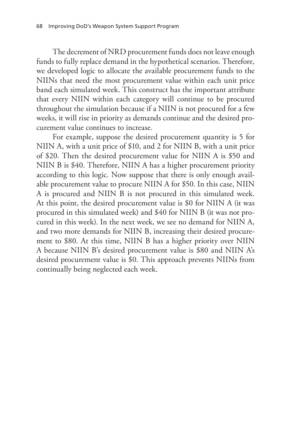The decrement of NRD procurement funds does not leave enough funds to fully replace demand in the hypothetical scenarios. Therefore, we developed logic to allocate the available procurement funds to the NIINs that need the most procurement value within each unit price band each simulated week. This construct has the important attribute that every NIIN within each category will continue to be procured throughout the simulation because if a NIIN is not procured for a few weeks, it will rise in priority as demands continue and the desired procurement value continues to increase.

For example, suppose the desired procurement quantity is 5 for NIIN A, with a unit price of \$10, and 2 for NIIN B, with a unit price of \$20. Then the desired procurement value for NIIN A is \$50 and NIIN B is \$40. Therefore, NIIN A has a higher procurement priority according to this logic. Now suppose that there is only enough available procurement value to procure NIIN A for \$50. In this case, NIIN A is procured and NIIN B is not procured in this simulated week. At this point, the desired procurement value is \$0 for NIIN A (it was procured in this simulated week) and \$40 for NIIN B (it was not procured in this week). In the next week, we see no demand for NIIN A, and two more demands for NIIN B, increasing their desired procurement to \$80. At this time, NIIN B has a higher priority over NIIN A because NIIN B's desired procurement value is \$80 and NIIN A's desired procurement value is \$0. This approach prevents NIINs from continually being neglected each week.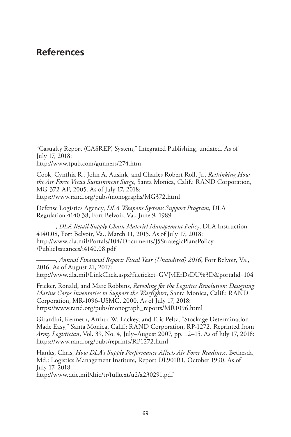"Casualty Report (CASREP) System," Integrated Publishing, undated. As of July 17, 2018: <http://www.tpub.com/gunners/274.htm>

Cook, Cynthia R., John A. Ausink, and Charles Robert Roll, Jr., *Rethinking How the Air Force Views Sustainment Surge*, Santa Monica, Calif.: RAND Corporation, MG-372-AF, 2005. As of July 17, 2018: <https://www.rand.org/pubs/monographs/MG372.html>

Defense Logistics Agency, *DLA Weapons Systems Support Program*, DLA Regulation 4140.38, Fort Belvoir, Va., June 9, 1989.

———, *DLA Retail Supply Chain Materiel Management Policy*, DLA Instruction 4140.08, Fort Belvoir, Va., March 11, 2015. As of July 17, 2018: [http://www.dla.mil/Portals/104/Documents/J5StrategicPlansPolicy](http://www.dla.mil/Portals/104/Documents/J5StrategicPlansPolicy/PublicIssuances/i4140.08.pdf) /PublicIssuances/i4140.08.pdf

———, *Annual Financial Report: Fiscal Year (Unaudited) 2016*, Fort Belvoir, Va., 2016. As of August 21, 2017: <http://www.dla.mil/LinkClick.aspx?fileticket=GVJvIErDsDU%3D&portalid=104>

Fricker, Ronald, and Marc Robbins, *Retooling for the Logistics Revolution: Designing Marine Corps Inventories to Support the Warfighter*, Santa Monica, Calif.: RAND Corporation, MR-1096-USMC, 2000. As of July 17, 2018: [https://www.rand.org/pubs/monograph\\_reports/MR1096.html](https://www.rand.org/pubs/monograph_reports/MR1096.html)

Girardini, Kenneth, Arthur W. Lackey, and Eric Peltz, "Stockage Determination Made Easy," Santa Monica, Calif.: RAND Corporation, RP-1272. Reprinted from *Army Logistician*, Vol. 39, No. 4, July–August 2007, pp. 12–15. As of July 17, 2018: <https://www.rand.org/pubs/reprints/RP1272.html>

Hanks, Chris, *How DLA's Supply Performance Affects Air Force Readiness*, Bethesda, Md.: Logistics Management Institute, Report DL901R1, October 1990. As of July 17, 2018: <http://www.dtic.mil/dtic/tr/fulltext/u2/a230291.pdf>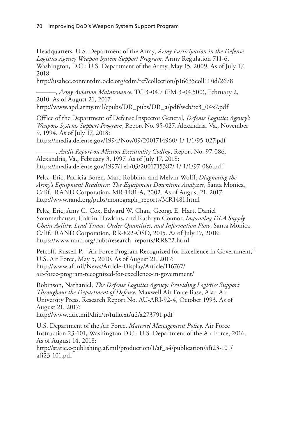Headquarters, U.S. Department of the Army, *Army Participation in the Defense Logistics Agency Weapon System Support Program*, Army Regulation 711-6, Washington, D.C.: U.S. Department of the Army, May 15, 2009. As of July 17, 2018:

<http://usahec.contentdm.oclc.org/cdm/ref/collection/p16635coll11/id/2678>

———, *Army Aviation Maintenance*, TC 3-04.7 (FM 3-04.500), February 2, 2010. As of August 21, 2017:

[http://www.apd.army.mil/epubs/DR\\_pubs/DR\\_a/pdf/web/tc3\\_04x7.pdf](http://www.apd.army.mil/epubs/DR_pubs/DR_a/pdf/web/tc3_04x7.pdf)

Office of the Department of Defense Inspector General, *Defense Logistics Agency's Weapons Systems Support Program*, Report No. 95-027, Alexandria, Va., November 9, 1994. As of July 17, 2018:

<https://media.defense.gov/1994/Nov/09/2001714960/-1/-1/1/95-027.pdf>

———, *Audit Report on Mission Essentiality Coding*, Report No. 97-086, Alexandria, Va., February 3, 1997. As of July 17, 2018: <https://media.defense.gov/1997/Feb/03/2001715387/-1/-1/1/97-086.pdf>

Peltz, Eric, Patricia Boren, Marc Robbins, and Melvin Wolff, *Diagnosing the Army's Equipment Readiness: The Equipment Downtime Analyzer*, Santa Monica, Calif.: RAND Corporation, MR-1481-A, 2002. As of August 21, 2017: [http://www.rand.org/pubs/monograph\\_reports/MR1481.html](http://www.rand.org/pubs/monograph_reports/MR1481.html)

Peltz, Eric, Amy G. Cox, Edward W. Chan, George E. Hart, Daniel Sommerhauser, Caitlin Hawkins, and Kathryn Connor, *Improving DLA Supply Chain Agility: Lead Times, Order Quantities, and Information Flow*, Santa Monica, Calif.: RAND Corporation, RR-822-OSD, 2015. As of July 17, 2018: [https://www.rand.org/pubs/research\\_reports/RR822.html](https://www.rand.org/pubs/research_reports/RR822.html)

Petcoff, Russell P., "Air Force Program Recognized for Excellence in Government," U.S. Air Force, May 5, 2010. As of August 21, 2017: http://www.af.mil/News/Article-Display/Article/116767/ [air-force-program-recognized-for-excellence-in-government/](http://www.af.mil/News/Article-Display/Article/116767/air-force-program-recognized-for-excellence-in-government/)

Robinson, Nathaniel, *The Defense Logistics Agency: Providing Logistics Support Throughout the Department of Defense*, Maxwell Air Force Base, Ala.: Air University Press, Research Report No. AU-ARI-92-4, October 1993. As of August 21, 2017:

<http://www.dtic.mil/dtic/tr/fulltext/u2/a273791.pdf>

U.S. Department of the Air Force, *Materiel Management Policy,* Air Force Instruction 23-101, Washington D.C.: U.S. Department of the Air Force, 2016. As of August 14, 2018: [http://static.e-publishing.af.mil/production/1/af\\_a4/publication/afi23-101/](http://static.e-publishing.af.mil/production/1/af_a4/publication/afi23-101/afi23-101.pdf)

afi23-101.pdf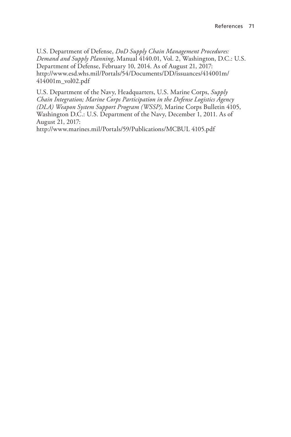U.S. Department of Defense, *DoD Supply Chain Management Procedures: Demand and Supply Planning*, Manual 4140.01, Vol. 2, Washington, D.C.: U.S. Department of Defense, February 10, 2014. As of August 21, 2017: [http://www.esd.whs.mil/Portals/54/Documents/DD/issuances/414001m/](http://www.esd.whs.mil/Portals/54/Documents/DD/issuances/414001m/414001m_vol02.pdf) 414001m\_vol02.pdf

U.S. Department of the Navy, Headquarters, U.S. Marine Corps, *Supply Chain Integration; Marine Corps Participation in the Defense Logistics Agency (DLA) Weapon System Support Program (WSSP)*, Marine Corps Bulletin 4105, Washington D.C.: U.S. Department of the Navy, December 1, 2011. As of August 21, 2017:

<http://www.marines.mil/Portals/59/Publications/MCBUL 4105.pdf>